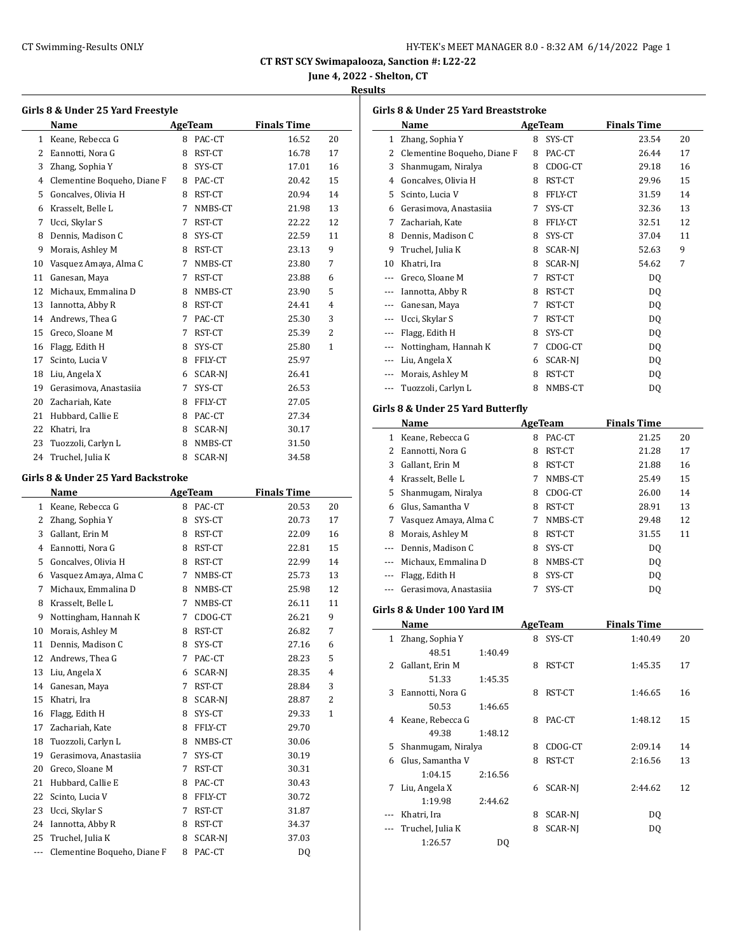| HY-TEK's MEET MANAGER 8.0 - 8:32 AM 6/14/2022 Page 1 |  |  |
|------------------------------------------------------|--|--|
|------------------------------------------------------|--|--|

**June 4, 2022 - Shelton, CT**

#### **Results**

|              | Name                        |   | AgeTeam        | <b>Finals Time</b> |                |
|--------------|-----------------------------|---|----------------|--------------------|----------------|
| $\mathbf{1}$ | Keane, Rebecca G            | 8 | PAC-CT         | 16.52              | 20             |
| 2            | Eannotti, Nora G            | 8 | RST-CT         | 16.78              | 17             |
| 3            | Zhang, Sophia Y             | 8 | SYS-CT         | 17.01              | 16             |
| 4            | Clementine Boqueho, Diane F | 8 | PAC-CT         | 20.42              | 15             |
| 5            | Goncalves, Olivia H         | 8 | RST-CT         | 20.94              | 14             |
| 6            | Krasselt, Belle L           | 7 | NMBS-CT        | 21.98              | 13             |
| 7            | Ucci, Skylar S              | 7 | RST-CT         | 22.22              | 12             |
| 8            | Dennis, Madison C           | 8 | SYS-CT         | 22.59              | 11             |
| 9            | Morais, Ashley M            | 8 | RST-CT         | 23.13              | 9              |
| 10           | Vasquez Amaya, Alma C       | 7 | NMBS-CT        | 23.80              | 7              |
| 11           | Ganesan, Maya               | 7 | RST-CT         | 23.88              | 6              |
| 12           | Michaux, Emmalina D         | 8 | NMBS-CT        | 23.90              | 5              |
| 13           | Iannotta, Abby R            | 8 | RST-CT         | 24.41              | $\overline{4}$ |
| 14           | Andrews, Thea G             | 7 | PAC-CT         | 25.30              | 3              |
| 15           | Greco, Sloane M             | 7 | RST-CT         | 25.39              | $\overline{2}$ |
| 16           | Flagg, Edith H              | 8 | SYS-CT         | 25.80              | $\mathbf{1}$   |
| 17           | Scinto, Lucia V             | 8 | FFLY-CT        | 25.97              |                |
| 18           | Liu, Angela X               | 6 | SCAR-NI        | 26.41              |                |
| 19           | Gerasimova, Anastasiia      | 7 | SYS-CT         | 26.53              |                |
| 20           | Zachariah, Kate             | 8 | FFLY-CT        | 27.05              |                |
| 21           | Hubbard, Callie E           | 8 | PAC-CT         | 27.34              |                |
| 22           | Khatri, Ira                 | 8 | SCAR-NI        | 30.17              |                |
| 23           | Tuozzoli, Carlyn L          | 8 | NMBS-CT        | 31.50              |                |
| 24           | Truchel, Julia K            | 8 | <b>SCAR-NI</b> | 34.58              |                |

#### **Girls 8 & Under 25 Yard Backstroke**

 $\overline{\phantom{a}}$ 

|     | Name                        |   | <b>AgeTeam</b> | <b>Finals Time</b> |                |
|-----|-----------------------------|---|----------------|--------------------|----------------|
| 1   | Keane, Rebecca G            | 8 | PAC-CT         | 20.53              | 20             |
| 2   | Zhang, Sophia Y             | 8 | SYS-CT         | 20.73              | 17             |
| 3   | Gallant, Erin M             | 8 | RST-CT         | 22.09              | 16             |
| 4   | Eannotti, Nora G            | 8 | RST-CT         | 22.81              | 15             |
| 5   | Goncalves, Olivia H         | 8 | RST-CT         | 22.99              | 14             |
| 6   | Vasquez Amaya, Alma C       | 7 | NMBS-CT        | 25.73              | 13             |
| 7   | Michaux, Emmalina D         | 8 | NMBS-CT        | 25.98              | 12             |
| 8   | Krasselt, Belle L           | 7 | NMBS-CT        | 26.11              | 11             |
| 9   | Nottingham, Hannah K        | 7 | CDOG-CT        | 26.21              | 9              |
| 10  | Morais, Ashley M            | 8 | RST-CT         | 26.82              | 7              |
| 11  | Dennis, Madison C           | 8 | SYS-CT         | 27.16              | 6              |
| 12  | Andrews, Thea G             | 7 | PAC-CT         | 28.23              | 5              |
| 13  | Liu, Angela X               | 6 | SCAR-NJ        | 28.35              | $\overline{4}$ |
| 14  | Ganesan, Maya               | 7 | RST-CT         | 28.84              | 3              |
| 15  | Khatri, Ira                 | 8 | SCAR-NJ        | 28.87              | 2              |
| 16  | Flagg, Edith H              | 8 | SYS-CT         | 29.33              | $\mathbf{1}$   |
| 17  | Zachariah, Kate             | 8 | FFLY-CT        | 29.70              |                |
| 18  | Tuozzoli, Carlyn L          | 8 | NMBS-CT        | 30.06              |                |
| 19  | Gerasimova, Anastasiia      | 7 | SYS-CT         | 30.19              |                |
| 20  | Greco, Sloane M             | 7 | RST-CT         | 30.31              |                |
| 21  | Hubbard, Callie E           | 8 | PAC-CT         | 30.43              |                |
| 22  | Scinto, Lucia V             | 8 | FFLY-CT        | 30.72              |                |
| 23  | Ucci, Skylar S              | 7 | RST-CT         | 31.87              |                |
| 24  | Iannotta, Abby R            | 8 | RST-CT         | 34.37              |                |
| 25  | Truchel, Julia K            | 8 | <b>SCAR-NI</b> | 37.03              |                |
| --- | Clementine Boqueho, Diane F | 8 | PAC-CT         | DQ                 |                |

| Girls 8 & Under 25 Yard Breaststroke |                             |   |                |                    |    |  |  |  |  |
|--------------------------------------|-----------------------------|---|----------------|--------------------|----|--|--|--|--|
|                                      | Name                        |   | AgeTeam        | <b>Finals Time</b> |    |  |  |  |  |
| 1                                    | Zhang, Sophia Y             | 8 | SYS-CT         | 23.54              | 20 |  |  |  |  |
| 2                                    | Clementine Boqueho, Diane F | 8 | PAC-CT         | 26.44              | 17 |  |  |  |  |
| 3                                    | Shanmugam, Niralya          | 8 | CDOG-CT        | 29.18              | 16 |  |  |  |  |
| 4                                    | Goncalves, Olivia H         | 8 | RST-CT         | 29.96              | 15 |  |  |  |  |
| 5                                    | Scinto, Lucia V             | 8 | FFLY-CT        | 31.59              | 14 |  |  |  |  |
| 6                                    | Gerasimova, Anastasiia      | 7 | SYS-CT         | 32.36              | 13 |  |  |  |  |
| 7                                    | Zachariah, Kate             | 8 | FFLY-CT        | 32.51              | 12 |  |  |  |  |
| 8                                    | Dennis, Madison C           | 8 | SYS-CT         | 37.04              | 11 |  |  |  |  |
| 9                                    | Truchel, Julia K            | 8 | SCAR-NJ        | 52.63              | 9  |  |  |  |  |
| 10                                   | Khatri, Ira                 | 8 | <b>SCAR-NI</b> | 54.62              | 7  |  |  |  |  |
| $---$                                | Greco, Sloane M             | 7 | RST-CT         | DQ                 |    |  |  |  |  |
| ---                                  | Iannotta, Abby R            | 8 | RST-CT         | DQ                 |    |  |  |  |  |
| $---$                                | Ganesan, Maya               | 7 | RST-CT         | DQ                 |    |  |  |  |  |
|                                      | Ucci, Skylar S              | 7 | RST-CT         | DQ                 |    |  |  |  |  |
|                                      | Flagg, Edith H              | 8 | SYS-CT         | DQ                 |    |  |  |  |  |
|                                      | Nottingham, Hannah K        | 7 | CDOG-CT        | DQ                 |    |  |  |  |  |
| ---                                  | Liu, Angela X               | 6 | <b>SCAR-NI</b> | DQ                 |    |  |  |  |  |
|                                      | Morais, Ashley M            | 8 | RST-CT         | DQ                 |    |  |  |  |  |
| $---$                                | Tuozzoli, Carlyn L          | 8 | NMBS-CT        | DQ                 |    |  |  |  |  |
|                                      |                             |   |                |                    |    |  |  |  |  |

#### **Girls 8 & Under 25 Yard Butterfly**

|    | Name                   |   | AgeTeam | <b>Finals Time</b> |    |
|----|------------------------|---|---------|--------------------|----|
| 1  | Keane. Rebecca G       | 8 | PAC-CT  | 21.25              | 20 |
| 2  | Eannotti, Nora G       | 8 | RST-CT  | 21.28              | 17 |
| 3  | Gallant, Erin M        | 8 | RST-CT  | 21.88              | 16 |
| 4  | Krasselt, Belle L      | 7 | NMBS-CT | 25.49              | 15 |
| 5. | Shanmugam, Niralya     | 8 | CDOG-CT | 26.00              | 14 |
| 6  | Glus, Samantha V       | 8 | RST-CT  | 28.91              | 13 |
| 7  | Vasquez Amaya, Alma C  | 7 | NMBS-CT | 29.48              | 12 |
| 8  | Morais, Ashley M       | 8 | RST-CT  | 31.55              | 11 |
|    | Dennis, Madison C      | 8 | SYS-CT  | DO.                |    |
|    | Michaux, Emmalina D    | 8 | NMBS-CT | D <sub>0</sub>     |    |
|    | Flagg, Edith H         | 8 | SYS-CT  | D <sub>0</sub>     |    |
|    | Gerasimova, Anastasija |   | SYS-CT  | DO                 |    |

#### **Girls 8 & Under 100 Yard IM**

|              | Name               |         | AgeTeam |         | <b>Finals Time</b> |    |
|--------------|--------------------|---------|---------|---------|--------------------|----|
| $\mathbf{1}$ | Zhang, Sophia Y    |         | 8       | SYS-CT  | 1:40.49            | 20 |
|              | 48.51              | 1:40.49 |         |         |                    |    |
| 2            | Gallant, Erin M    |         | 8       | RST-CT  | 1:45.35            | 17 |
|              | 51.33              | 1:45.35 |         |         |                    |    |
| 3            | Eannotti, Nora G   |         | 8       | RST-CT  | 1:46.65            | 16 |
|              | 50.53              | 1:46.65 |         |         |                    |    |
| 4            | Keane, Rebecca G   |         | 8       | PAC-CT  | 1:48.12            | 15 |
|              | 49.38              | 1:48.12 |         |         |                    |    |
| 5            | Shanmugam, Niralya |         | 8       | CDOG-CT | 2:09.14            | 14 |
| 6            | Glus, Samantha V   |         | 8       | RST-CT  | 2:16.56            | 13 |
|              | 1:04.15            | 2:16.56 |         |         |                    |    |
| 7            | Liu, Angela X      |         | 6       | SCAR-NJ | 2:44.62            | 12 |
|              | 1:19.98            | 2:44.62 |         |         |                    |    |
|              | Khatri, Ira        |         | 8       | SCAR-NI | DO.                |    |
|              | Truchel, Julia K   |         | 8       | SCAR-NI | DQ                 |    |
|              | 1:26.57            | DO.     |         |         |                    |    |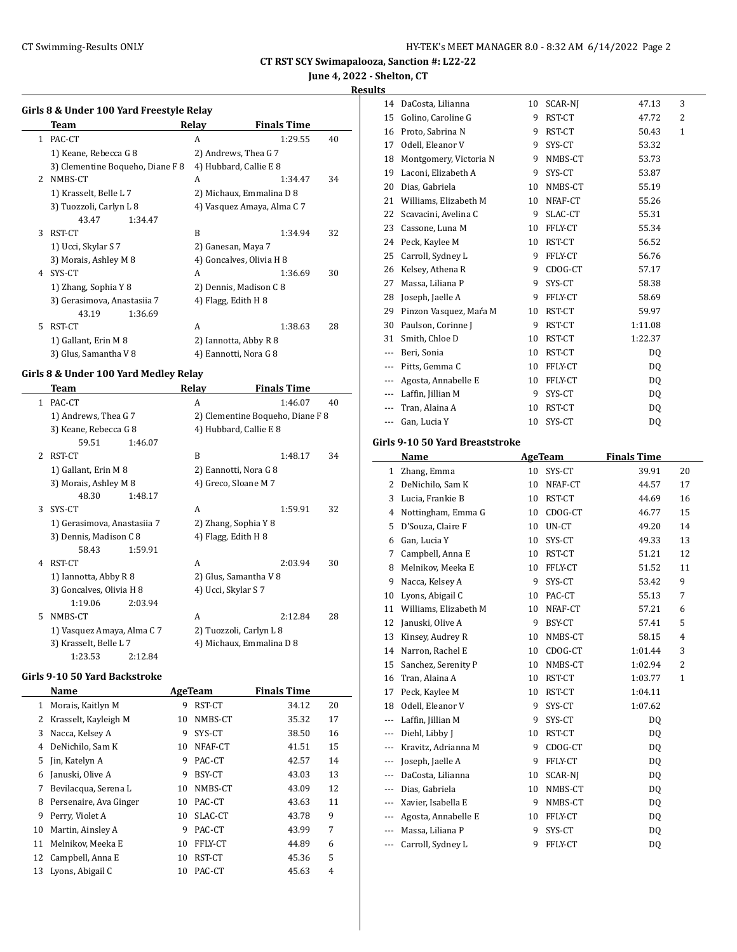**June 4, 2022 - Shelton, CT**

#### **Results**

|              | Girls 8 & Under 100 Yard Freestyle Relay |       |                            |    |  |  |  |
|--------------|------------------------------------------|-------|----------------------------|----|--|--|--|
|              | Team                                     | Relay | <b>Finals Time</b>         |    |  |  |  |
| $\mathbf{1}$ | PAC-CT                                   | A     | 1:29.55                    | 40 |  |  |  |
|              | 1) Keane, Rebecca G 8                    |       | 2) Andrews, Thea G 7       |    |  |  |  |
|              | 3) Clementine Boqueho, Diane F 8         |       | 4) Hubbard, Callie E 8     |    |  |  |  |
| 2            | NMBS-CT                                  | A     | 1:34.47                    | 34 |  |  |  |
|              | 1) Krasselt, Belle L 7                   |       | 2) Michaux, Emmalina D 8   |    |  |  |  |
|              | 3) Tuozzoli, Carlyn L 8                  |       | 4) Vasquez Amaya, Alma C 7 |    |  |  |  |
|              | 43.47<br>1:34.47                         |       |                            |    |  |  |  |
| 3            | RST-CT                                   | B     | 1:34.94                    | 32 |  |  |  |
|              | 1) Ucci, Skylar S 7                      |       | 2) Ganesan, Maya 7         |    |  |  |  |
|              | 3) Morais, Ashley M 8                    |       | 4) Goncalves, Olivia H 8   |    |  |  |  |
| 4            | SYS-CT                                   | A     | 1:36.69                    | 30 |  |  |  |
|              | 1) Zhang, Sophia Y 8                     |       | 2) Dennis, Madison C 8     |    |  |  |  |
|              | 3) Gerasimova, Anastasiia 7              |       | 4) Flagg, Edith H 8        |    |  |  |  |
|              | 43.19<br>1:36.69                         |       |                            |    |  |  |  |
| 5            | RST-CT                                   | A     | 1:38.63                    | 28 |  |  |  |
|              | 1) Gallant, Erin M 8                     |       | 2) Iannotta, Abby R 8      |    |  |  |  |
|              | 3) Glus, Samantha V 8                    |       | 4) Eannotti, Nora G 8      |    |  |  |  |

#### **Girls 8 & Under 100 Yard Medley Relay**

|    | Team                        |         | Relay                   | <b>Finals Time</b>               |    |
|----|-----------------------------|---------|-------------------------|----------------------------------|----|
| 1  | PAC-CT                      |         | A                       | 1:46.07                          | 40 |
|    | 1) Andrews, Thea G 7        |         |                         | 2) Clementine Boqueho, Diane F 8 |    |
|    | 3) Keane, Rebecca G 8       |         | 4) Hubbard, Callie E 8  |                                  |    |
|    | 59.51                       | 1:46.07 |                         |                                  |    |
| 2  | RST-CT                      |         | B                       | 1:48.17                          | 34 |
|    | 1) Gallant, Erin M 8        |         | 2) Eannotti, Nora G 8   |                                  |    |
|    | 3) Morais, Ashley M 8       |         | 4) Greco, Sloane M 7    |                                  |    |
|    | 48.30                       | 1:48.17 |                         |                                  |    |
| 3  | SYS-CT                      |         | A                       | 1:59.91                          | 32 |
|    | 1) Gerasimova, Anastasiia 7 |         | 2) Zhang, Sophia Y 8    |                                  |    |
|    | 3) Dennis, Madison C 8      |         | 4) Flagg, Edith H 8     |                                  |    |
|    | 58.43                       | 1:59.91 |                         |                                  |    |
| 4  | RST-CT                      |         | A                       | 2:03.94                          | 30 |
|    | 1) Iannotta, Abby R 8       |         | 2) Glus, Samantha V 8   |                                  |    |
|    | 3) Goncalves, Olivia H 8    |         | 4) Ucci, Skylar S 7     |                                  |    |
|    | 1:19.06                     | 2:03.94 |                         |                                  |    |
| 5. | NMBS-CT                     |         | A                       | 2:12.84                          | 28 |
|    | 1) Vasquez Amaya, Alma C 7  |         | 2) Tuozzoli, Carlyn L 8 |                                  |    |
|    | 3) Krasselt, Belle L 7      |         |                         | 4) Michaux, Emmalina D 8         |    |
|    | 1:23.53                     | 2:12.84 |                         |                                  |    |

#### **Girls 9-10 50 Yard Backstroke**

|    | Name                   |    | AgeTeam | <b>Finals Time</b> |    |
|----|------------------------|----|---------|--------------------|----|
| 1  | Morais, Kaitlyn M      | 9  | RST-CT  | 34.12              | 20 |
| 2  | Krasselt, Kayleigh M   | 10 | NMBS-CT | 35.32              | 17 |
| 3  | Nacca, Kelsey A        | 9  | SYS-CT  | 38.50              | 16 |
| 4  | DeNichilo, Sam K       | 10 | NFAF-CT | 41.51              | 15 |
| 5. | Jin, Katelyn A         | 9  | PAC-CT  | 42.57              | 14 |
| 6  | Januski, Olive A       | 9  | BSY-CT  | 43.03              | 13 |
| 7  | Bevilacqua, Serena L   | 10 | NMBS-CT | 43.09              | 12 |
| 8  | Persenaire, Ava Ginger | 10 | PAC-CT  | 43.63              | 11 |
| 9  | Perry, Violet A        | 10 | SLAC-CT | 43.78              | 9  |
| 10 | Martin, Ainsley A      | 9  | PAC-CT  | 43.99              | 7  |
| 11 | Melnikov, Meeka E      | 10 | FFLY-CT | 44.89              | 6  |
| 12 | Campbell, Anna E       | 10 | RST-CT  | 45.36              | 5  |
| 13 | Lyons, Abigail C       | 10 | PAC-CT  | 45.63              | 4  |

| 14    | DaCosta, Lilianna      | 10 | SCAR-NJ | 47.13          | 3            |  |
|-------|------------------------|----|---------|----------------|--------------|--|
| 15    | Golino, Caroline G     | 9  | RST-CT  | 47.72          | 2            |  |
| 16    | Proto, Sabrina N       | 9  | RST-CT  | 50.43          | $\mathbf{1}$ |  |
| 17    | Odell, Eleanor V       | 9  | SYS-CT  | 53.32          |              |  |
| 18    | Montgomery, Victoria N | 9  | NMBS-CT | 53.73          |              |  |
| 19    | Laconi, Elizabeth A    | 9  | SYS-CT  | 53.87          |              |  |
| 20    | Dias, Gabriela         | 10 | NMBS-CT | 55.19          |              |  |
| 21    | Williams, Elizabeth M  | 10 | NFAF-CT | 55.26          |              |  |
| 22    | Scavacini, Avelina C   | 9  | SLAC-CT | 55.31          |              |  |
| 23    | Cassone, Luna M        | 10 | FFLY-CT | 55.34          |              |  |
| 24    | Peck, Kaylee M         | 10 | RST-CT  | 56.52          |              |  |
| 25    | Carroll, Sydney L      | 9  | FFLY-CT | 56.76          |              |  |
| 26    | Kelsey, Athena R       | 9  | CDOG-CT | 57.17          |              |  |
| 27    | Massa, Liliana P       | 9  | SYS-CT  | 58.38          |              |  |
| 28    | Joseph, Jaelle A       | 9  | FFLY-CT | 58.69          |              |  |
| 29    | Pinzon Vasquez, Mara M | 10 | RST-CT  | 59.97          |              |  |
| 30    | Paulson, Corinne J     | 9  | RST-CT  | 1:11.08        |              |  |
| 31    | Smith, Chloe D         | 10 | RST-CT  | 1:22.37        |              |  |
| $---$ | Beri, Sonia            | 10 | RST-CT  | DQ             |              |  |
| $---$ | Pitts, Gemma C         | 10 | FFLY-CT | DO.            |              |  |
| $---$ | Agosta, Annabelle E    | 10 | FFLY-CT | DO.            |              |  |
| $---$ | Laffin, Jillian M      | 9  | SYS-CT  | DQ             |              |  |
| $---$ | Tran, Alaina A         | 10 | RST-CT  | D <sub>0</sub> |              |  |
| ---   | Gan, Lucia Y           | 10 | SYS-CT  | DQ             |              |  |
|       |                        |    |         |                |              |  |

#### **Girls 9-10 50 Yard Breaststroke**

|       | Name                  |    | <b>AgeTeam</b> | <b>Finals Time</b> |    |
|-------|-----------------------|----|----------------|--------------------|----|
| 1     | Zhang, Emma           | 10 | SYS-CT         | 39.91              | 20 |
| 2     | DeNichilo, Sam K      | 10 | NFAF-CT        | 44.57              | 17 |
| 3     | Lucia, Frankie B      | 10 | RST-CT         | 44.69              | 16 |
| 4     | Nottingham, Emma G    | 10 | CDOG-CT        | 46.77              | 15 |
| 5     | D'Souza, Claire F     | 10 | UN-CT          | 49.20              | 14 |
| 6     | Gan, Lucia Y          | 10 | SYS-CT         | 49.33              | 13 |
| 7     | Campbell, Anna E      | 10 | RST-CT         | 51.21              | 12 |
| 8     | Melnikov, Meeka E     | 10 | FFLY-CT        | 51.52              | 11 |
| 9     | Nacca, Kelsey A       | 9  | SYS-CT         | 53.42              | 9  |
| 10    | Lyons, Abigail C      | 10 | PAC-CT         | 55.13              | 7  |
| 11    | Williams, Elizabeth M | 10 | NFAF-CT        | 57.21              | 6  |
| 12    | Januski, Olive A      | 9  | <b>BSY-CT</b>  | 57.41              | 5  |
| 13    | Kinsey, Audrey R      | 10 | NMBS-CT        | 58.15              | 4  |
| 14    | Narron, Rachel E      | 10 | CDOG-CT        | 1:01.44            | 3  |
| 15    | Sanchez, Serenity P   | 10 | NMBS-CT        | 1:02.94            | 2  |
| 16    | Tran, Alaina A        | 10 | RST-CT         | 1:03.77            | 1  |
| 17    | Peck, Kaylee M        | 10 | RST-CT         | 1:04.11            |    |
| 18    | Odell, Eleanor V      | 9  | SYS-CT         | 1:07.62            |    |
| ---   | Laffin, Jillian M     | 9  | SYS-CT         | DO.                |    |
| $---$ | Diehl, Libby J        | 10 | RST-CT         | DQ                 |    |
| ---   | Kravitz, Adrianna M   | 9  | CDOG-CT        | D <sub>0</sub>     |    |
| ---   | Joseph, Jaelle A      | 9  | FFLY-CT        | DQ                 |    |
| ---   | DaCosta, Lilianna     | 10 | SCAR-NJ        | DO.                |    |
| $---$ | Dias, Gabriela        | 10 | NMBS-CT        | DQ                 |    |
| $---$ | Xavier, Isabella E    | 9  | NMBS-CT        | DQ                 |    |
| $---$ | Agosta, Annabelle E   | 10 | FFLY-CT        | DQ                 |    |
| $---$ | Massa, Liliana P      | 9  | SYS-CT         | DQ                 |    |
| ---   | Carroll, Sydney L     | 9  | FFLY-CT        | DQ                 |    |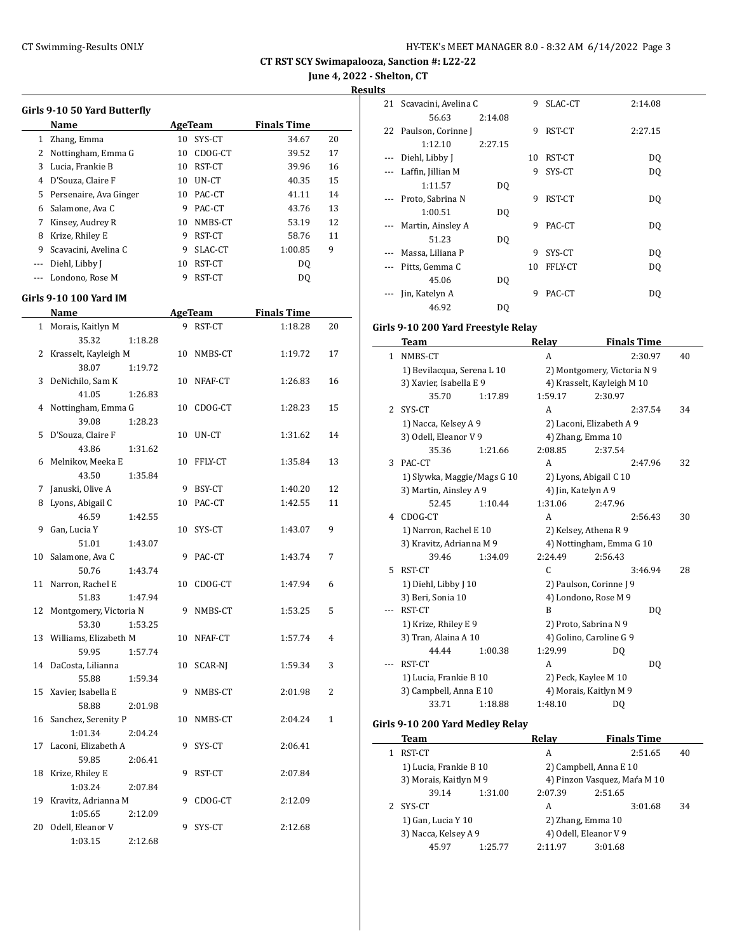**June 4, 2022 - Shelton, CT**

**Results**

|                      | Girls 9-10 50 Yard Butterfly         |    |                  |                    |              | 21 Scava        |
|----------------------|--------------------------------------|----|------------------|--------------------|--------------|-----------------|
|                      | Name                                 |    | AgeTeam          | <b>Finals Time</b> |              |                 |
|                      | 1 Zhang, Emma                        |    | 10 SYS-CT        | 34.67              | 20           | 22 Pauls        |
|                      | 2 Nottingham, Emma G                 |    | 10 CDOG-CT       | 39.52              | 17           |                 |
|                      | 3 Lucia, Frankie B                   |    | 10 RST-CT        | 39.96              | 16           | Diehl,<br>---   |
|                      | 4 D'Souza, Claire F                  |    | 10 UN-CT         | 40.35              | 15           | Laffin          |
|                      | 5 Persenaire, Ava Ginger             |    | 10 PAC-CT        | 41.11              | 14           |                 |
|                      | 6 Salamone, Ava C                    |    | 9 PAC-CT         | 43.76              | 13           | Proto           |
|                      | 7 Kinsey, Audrey R                   |    | 10 NMBS-CT       | 53.19              | 12           |                 |
|                      | 8 Krize, Rhiley E                    |    | 9 RST-CT         | 58.76              | 11           | Marti           |
| 9                    | Scavacini, Avelina C                 | 9  | SLAC-CT          | 1:00.85            | 9            |                 |
| $\scriptstyle\cdots$ | Diehl, Libby J                       |    | 10 RST-CT        | DQ                 |              | Massa           |
| $---$                | Londono, Rose M                      |    | 9 RST-CT         | DQ                 |              | Pitts,          |
|                      |                                      |    |                  |                    |              | Jin, Ka         |
|                      | <b>Girls 9-10 100 Yard IM</b>        |    |                  |                    |              |                 |
|                      | Name                                 |    | AgeTeam          | <b>Finals Time</b> |              |                 |
|                      | 1 Morais, Kaitlyn M                  |    | 9 RST-CT         | 1:18.28            | 20           | Girls 9-102     |
|                      | 35.32<br>1:18.28                     |    |                  |                    |              | <b>Tean</b>     |
|                      | 2 Krasselt, Kayleigh M               |    | 10 NMBS-CT       | 1:19.72            | 17           | 1 NMBS          |
|                      | 38.07<br>1:19.72                     |    |                  |                    |              | 1) Be           |
| 3                    | DeNichilo, Sam K                     |    | 10 NFAF-CT       | 1:26.83            | 16           | 3) Xay          |
|                      | 41.05<br>1:26.83                     |    |                  |                    |              |                 |
| 4                    | Nottingham, Emma G<br>39.08          |    | 10 CDOG-CT       | 1:28.23            | 15           | SYS-C<br>2      |
| 5                    | 1:28.23                              |    | 10 UN-CT         |                    |              | 1) Na           |
|                      | D'Souza, Claire F                    |    |                  | 1:31.62            | 14           | 3) Od           |
|                      | 43.86<br>1:31.62                     |    |                  |                    |              |                 |
| 6                    | Melnikov, Meeka E                    |    | 10 FFLY-CT       | 1:35.84            | 13           | 3 PAC-C         |
|                      | 43.50<br>1:35.84                     | 9  |                  |                    |              | 1) Sly          |
| 7                    | Januski, Olive A                     |    | BSY-CT<br>PAC-CT | 1:40.20            | 12           | 3) Ma           |
| 8                    | Lyons, Abigail C<br>46.59<br>1:42.55 | 10 |                  | 1:42.55            | 11           |                 |
| 9                    | Gan, Lucia Y                         | 10 | SYS-CT           | 1:43.07            | 9            | 4 CDOG          |
|                      | 51.01<br>1:43.07                     |    |                  |                    |              | 1) Na<br>3) Kra |
| 10                   | Salamone, Ava C                      |    | 9 PAC-CT         | 1:43.74            | 7            |                 |
|                      | 50.76<br>1:43.74                     |    |                  |                    |              | RST-C<br>5      |
|                      | 11 Narron, Rachel E                  |    | 10 CDOG-CT       | 1:47.94            | 6            | $1)$ Die        |
|                      | 51.83<br>1:47.94                     |    |                  |                    |              | 3) Bei          |
|                      | 12 Montgomery, Victoria N            |    | 9 NMBS-CT        | 1:53.25            | 5            | RST-C           |
|                      | 53.30<br>1:53.25                     |    |                  |                    |              | 1) Kri          |
|                      | 13 Williams, Elizabeth M             |    | 10 NFAF-CT       | 1:57.74            | 4            | 3) Tra          |
|                      | 59.95<br>1:57.74                     |    |                  |                    |              |                 |
|                      | 14 DaCosta, Lilianna                 |    | 10 SCAR-NJ       | 1:59.34            | 3            | RST-C           |
|                      | 55.88<br>1:59.34                     |    |                  |                    |              | $1)$ Lu         |
|                      | 15 Xavier, Isabella E                |    | 9 NMBS-CT        | 2:01.98            | 2            | 3) Car          |
|                      | 58.88<br>2:01.98                     |    |                  |                    |              |                 |
|                      | 16 Sanchez, Serenity P               |    | 10 NMBS-CT       | 2:04.24            | $\mathbf{1}$ |                 |
|                      | 1:01.34<br>2:04.24                   |    |                  |                    |              | Girls 9-102     |
|                      | 17 Laconi, Elizabeth A               |    | 9 SYS-CT         | 2:06.41            |              | <b>Tean</b>     |
|                      | 59.85<br>2:06.41                     |    |                  |                    |              | 1 RST-C         |
|                      | 18 Krize, Rhiley E                   |    | 9 RST-CT         | 2:07.84            |              | 1) Lu           |
|                      | 1:03.24<br>2:07.84                   |    |                  |                    |              | 3) Mo           |
|                      | 19 Kravitz, Adrianna M               |    | 9 CDOG-CT        | 2:12.09            |              |                 |
|                      | 1:05.65<br>2:12.09                   |    |                  |                    |              | 2 SYS-C         |
|                      | 20 Odell, Eleanor V                  |    | 9 SYS-CT         | 2:12.68            |              | $1)$ Ga         |
|                      | 1:03.15<br>2:12.68                   |    |                  |                    |              | 3) Na           |
|                      |                                      |    |                  |                    |              |                 |

| u  |                       |         |    |         |         |  |
|----|-----------------------|---------|----|---------|---------|--|
| 21 | Scavacini, Avelina C  |         | 9  | SLAC-CT | 2:14.08 |  |
|    | 56.63                 | 2:14.08 |    |         |         |  |
|    | 22 Paulson, Corinne J |         | 9  | RST-CT  | 2:27.15 |  |
|    | 1:12.10               | 2:27.15 |    |         |         |  |
|    | Diehl, Libby J        |         | 10 | RST-CT  | DQ      |  |
|    | Laffin, Jillian M     |         | 9  | SYS-CT  | DQ      |  |
|    | 1:11.57               | DQ      |    |         |         |  |
|    | Proto, Sabrina N      |         | 9  | RST-CT  | DQ      |  |
|    | 1:00.51               | DQ      |    |         |         |  |
|    | Martin, Ainsley A     |         | 9  | PAC-CT  | DQ      |  |
|    | 51.23                 | DQ      |    |         |         |  |
|    | Massa, Liliana P      |         | 9  | SYS-CT  | DQ      |  |
|    | Pitts, Gemma C        |         | 10 | FFLY-CT | DQ      |  |
|    | 45.06                 | DQ      |    |         |         |  |
|    | Jin, Katelyn A        |         | 9  | PAC-CT  | DQ      |  |
|    | 46.92                 | DQ      |    |         |         |  |

#### **Girls 9-10 200 Yard Freestyle Relay**

|              | Team                        |         | Relay   | <b>Finals Time</b>          |    |
|--------------|-----------------------------|---------|---------|-----------------------------|----|
| $\mathbf{1}$ | NMBS-CT                     |         | A       | 2:30.97                     | 40 |
|              | 1) Bevilacqua, Serena L 10  |         |         | 2) Montgomery, Victoria N 9 |    |
|              | 3) Xavier, Isabella E 9     |         |         | 4) Krasselt, Kayleigh M 10  |    |
|              | 35.70                       | 1:17.89 | 1:59.17 | 2:30.97                     |    |
| 2            | SYS-CT                      |         | A       | 2:37.54                     | 34 |
|              | 1) Nacca, Kelsey A 9        |         |         | 2) Laconi, Elizabeth A 9    |    |
|              | 3) Odell, Eleanor V 9       |         |         | 4) Zhang, Emma 10           |    |
|              | 35.36                       | 1:21.66 | 2:08.85 | 2:37.54                     |    |
| 3            | PAC-CT                      |         | A       | 2:47.96                     | 32 |
|              | 1) Slywka, Maggie/Mags G 10 |         |         | 2) Lyons, Abigail C 10      |    |
|              | 3) Martin, Ainsley A 9      |         |         | 4) Jin, Katelyn A 9         |    |
|              | 52.45                       | 1:10.44 | 1:31.06 | 2:47.96                     |    |
| 4            | CDOG-CT                     |         | A       | 2:56.43                     | 30 |
|              | 1) Narron, Rachel E 10      |         |         | 2) Kelsey, Athena R 9       |    |
|              | 3) Kravitz, Adrianna M 9    |         |         | 4) Nottingham, Emma G 10    |    |
|              | 39.46                       | 1:34.09 | 2:24.49 | 2:56.43                     |    |
| 5            | RST-CT                      |         | C       | 3:46.94                     | 28 |
|              | 1) Diehl, Libby J 10        |         |         | 2) Paulson, Corinne J 9     |    |
|              | 3) Beri, Sonia 10           |         |         | 4) Londono, Rose M 9        |    |
|              | RST-CT                      |         | B       | DQ                          |    |
|              | 1) Krize, Rhiley E 9        |         |         | 2) Proto, Sabrina N 9       |    |
|              | 3) Tran, Alaina A 10        |         |         | 4) Golino, Caroline G 9     |    |
|              | 44.44                       | 1:00.38 | 1:29.99 | DQ                          |    |
|              | RST-CT                      |         | A       | D <sub>0</sub>              |    |
|              | 1) Lucia, Frankie B 10      |         |         | 2) Peck, Kaylee M 10        |    |
|              | 3) Campbell, Anna E 10      |         |         | 4) Morais, Kaitlyn M 9      |    |
|              | 33.71                       | 1:18.88 | 1:48.10 | DQ                          |    |

#### **Girls 9-10 200 Yard Medley Relay**

| Team                   |         | Relav                        |         | <b>Finals Time</b> |    |
|------------------------|---------|------------------------------|---------|--------------------|----|
| RST-CT                 |         | A                            |         | 2:51.65            | 40 |
| 1) Lucia, Frankie B 10 |         | 2) Campbell, Anna E 10       |         |                    |    |
| 3) Morais, Kaitlyn M 9 |         | 4) Pinzon Vasquez, Mara M 10 |         |                    |    |
| 39.14                  | 1:31.00 | 2:07.39                      | 2:51.65 |                    |    |
| SYS-CT                 |         | A                            |         | 3:01.68            | 34 |
| 1) Gan, Lucia Y 10     |         | 2) Zhang, Emma 10            |         |                    |    |
| 3) Nacca, Kelsey A 9   |         | 4) Odell, Eleanor V 9        |         |                    |    |
| 45.97                  | 1:25.77 | 2:11.97                      | 3:01.68 |                    |    |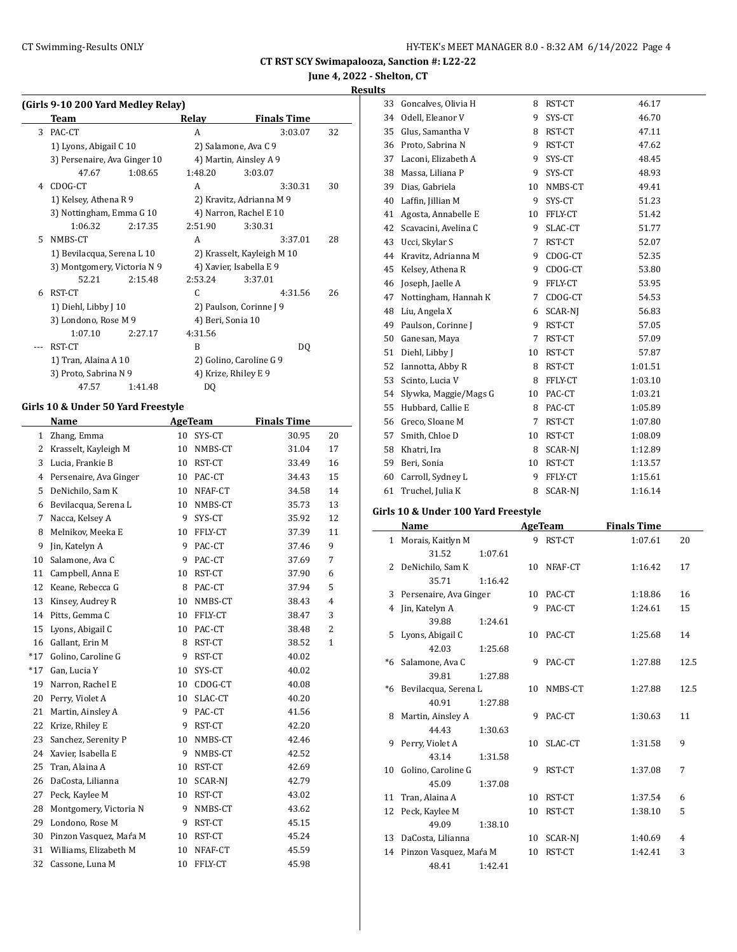**June 4, 2022 - Shelton, CT**

#### **Results**

|   | (Girls 9-10 200 Yard Medley Relay) |         |                   |                            |    |
|---|------------------------------------|---------|-------------------|----------------------------|----|
|   | Team                               |         | Relay             | <b>Finals Time</b>         |    |
| 3 | PAC-CT                             |         | A                 | 3:03.07                    | 32 |
|   | 1) Lyons, Abigail C 10             |         |                   | 2) Salamone, Ava C 9       |    |
|   | 3) Persenaire, Ava Ginger 10       |         |                   | 4) Martin, Ainsley A 9     |    |
|   | 47.67                              | 1:08.65 | 1:48.20           | 3:03.07                    |    |
| 4 | CDOG-CT                            |         | A                 | 3:30.31                    | 30 |
|   | 1) Kelsey, Athena R 9              |         |                   | 2) Kravitz, Adrianna M 9   |    |
|   | 3) Nottingham, Emma G 10           |         |                   | 4) Narron, Rachel E 10     |    |
|   | 1:06.32                            | 2:17.35 | 2:51.90           | 3:30.31                    |    |
| 5 | NMBS-CT                            |         | A                 | 3:37.01                    | 28 |
|   | 1) Bevilacqua, Serena L 10         |         |                   | 2) Krasselt, Kayleigh M 10 |    |
|   | 3) Montgomery, Victoria N 9        |         |                   | 4) Xavier, Isabella E 9    |    |
|   | 52.21                              | 2:15.48 | 2:53.24           | 3:37.01                    |    |
| 6 | RST-CT                             |         | C.                | 4:31.56                    | 26 |
|   | 1) Diehl, Libby J 10               |         |                   | 2) Paulson, Corinne J 9    |    |
|   | 3) Londono, Rose M 9               |         | 4) Beri, Sonia 10 |                            |    |
|   | 1:07.10                            | 2:27.17 | 4:31.56           |                            |    |
|   | RST-CT                             |         | B                 | DQ                         |    |
|   | 1) Tran, Alaina A 10               |         |                   | 2) Golino, Caroline G 9    |    |
|   | 3) Proto, Sabrina N 9              |         |                   | 4) Krize, Rhiley E 9       |    |
|   | 47.57                              | 1:41.48 | DQ                |                            |    |

#### **Girls 10 & Under 50 Yard Freestyle**

|       | Name                   |    | <b>AgeTeam</b> | <b>Finals Time</b> |                |
|-------|------------------------|----|----------------|--------------------|----------------|
| 1     | Zhang, Emma            | 10 | SYS-CT         | 30.95              | 20             |
| 2     | Krasselt, Kayleigh M   | 10 | NMBS-CT        | 31.04              | 17             |
| 3     | Lucia, Frankie B       | 10 | RST-CT         | 33.49              | 16             |
| 4     | Persenaire, Ava Ginger | 10 | PAC-CT         | 34.43              | 15             |
| 5     | DeNichilo, Sam K       | 10 | NFAF-CT        | 34.58              | 14             |
| 6     | Bevilacqua, Serena L   | 10 | NMBS-CT        | 35.73              | 13             |
| 7     | Nacca, Kelsey A        | 9  | SYS-CT         | 35.92              | 12             |
| 8     | Melnikov, Meeka E      | 10 | FFLY-CT        | 37.39              | 11             |
| 9     | Jin, Katelyn A         | 9  | PAC-CT         | 37.46              | 9              |
| 10    | Salamone, Ava C        | 9  | PAC-CT         | 37.69              | 7              |
| 11    | Campbell, Anna E       | 10 | RST-CT         | 37.90              | 6              |
| 12    | Keane, Rebecca G       | 8  | PAC-CT         | 37.94              | 5              |
| 13    | Kinsey, Audrey R       | 10 | NMBS-CT        | 38.43              | $\overline{4}$ |
| 14    | Pitts, Gemma C         | 10 | FFLY-CT        | 38.47              | 3              |
| 15    | Lyons, Abigail C       | 10 | PAC-CT         | 38.48              | $\overline{2}$ |
| 16    | Gallant, Erin M        | 8  | RST-CT         | 38.52              | $\mathbf{1}$   |
| $*17$ | Golino, Caroline G     | 9  | RST-CT         | 40.02              |                |
| $*17$ | Gan, Lucia Y           | 10 | SYS-CT         | 40.02              |                |
| 19    | Narron, Rachel E       | 10 | CDOG-CT        | 40.08              |                |
| 20    | Perry, Violet A        | 10 | SLAC-CT        | 40.20              |                |
| 21    | Martin, Ainsley A      | 9  | PAC-CT         | 41.56              |                |
| 22    | Krize, Rhiley E        | 9  | RST-CT         | 42.20              |                |
| 23    | Sanchez, Serenity P    | 10 | NMBS-CT        | 42.46              |                |
| 24    | Xavier, Isabella E     | 9  | NMBS-CT        | 42.52              |                |
| 25    | Tran, Alaina A         | 10 | RST-CT         | 42.69              |                |
| 26    | DaCosta, Lilianna      | 10 | SCAR-NJ        | 42.79              |                |
| 27    | Peck, Kaylee M         | 10 | RST-CT         | 43.02              |                |
| 28    | Montgomery, Victoria N | 9  | NMBS-CT        | 43.62              |                |
| 29    | Londono, Rose M        | 9  | RST-CT         | 45.15              |                |
| 30    | Pinzon Vasquez, Mara M | 10 | RST-CT         | 45.24              |                |
| 31    | Williams, Elizabeth M  | 10 | NFAF-CT        | 45.59              |                |
| 32    | Cassone, Luna M        | 10 | FFLY-CT        | 45.98              |                |

| 33 | Goncalves, Olivia H   | 8  | RST-CT         | 46.17   |
|----|-----------------------|----|----------------|---------|
| 34 | Odell, Eleanor V      | 9  | SYS-CT         | 46.70   |
| 35 | Glus, Samantha V      | 8  | RST-CT         | 47.11   |
| 36 | Proto, Sabrina N      | 9  | RST-CT         | 47.62   |
| 37 | Laconi, Elizabeth A   | 9  | SYS-CT         | 48.45   |
| 38 | Massa, Liliana P      | 9  | SYS-CT         | 48.93   |
| 39 | Dias, Gabriela        | 10 | NMBS-CT        | 49.41   |
| 40 | Laffin, Jillian M     | 9  | SYS-CT         | 51.23   |
| 41 | Agosta, Annabelle E   | 10 | FFLY-CT        | 51.42   |
| 42 | Scavacini, Avelina C  | 9  | SLAC-CT        | 51.77   |
| 43 | Ucci, Skylar S        | 7  | RST-CT         | 52.07   |
| 44 | Kravitz, Adrianna M   | 9  | CDOG-CT        | 52.35   |
| 45 | Kelsey, Athena R      | 9  | CDOG-CT        | 53.80   |
| 46 | Joseph, Jaelle A      | 9  | FFLY-CT        | 53.95   |
| 47 | Nottingham, Hannah K  | 7  | CDOG-CT        | 54.53   |
| 48 | Liu, Angela X         | 6  | SCAR-NI        | 56.83   |
| 49 | Paulson, Corinne J    | 9  | RST-CT         | 57.05   |
| 50 | Ganesan, Maya         | 7  | RST-CT         | 57.09   |
| 51 | Diehl, Libby J        | 10 | RST-CT         | 57.87   |
| 52 | Iannotta, Abby R      | 8  | RST-CT         | 1:01.51 |
| 53 | Scinto, Lucia V       | 8  | FFLY-CT        | 1:03.10 |
| 54 | Slywka, Maggie/Mags G | 10 | PAC-CT         | 1:03.21 |
| 55 | Hubbard, Callie E     | 8  | PAC-CT         | 1:05.89 |
| 56 | Greco, Sloane M       | 7  | RST-CT         | 1:07.80 |
| 57 | Smith, Chloe D        | 10 | RST-CT         | 1:08.09 |
| 58 | Khatri, Ira           | 8  | SCAR-NI        | 1:12.89 |
| 59 | Beri, Sonia           | 10 | RST-CT         | 1:13.57 |
| 60 | Carroll, Sydney L     | 9  | FFLY-CT        | 1:15.61 |
| 61 | Truchel, Julia K      | 8  | <b>SCAR-NI</b> | 1:16.14 |

## **Girls 10 & Under 100 Yard Freestyle**

| Name |                           |         | AgeTeam         |           | <b>Finals Time</b> |      |
|------|---------------------------|---------|-----------------|-----------|--------------------|------|
|      | 1 Morais, Kaitlyn M       |         | 9               | RST-CT    | 1:07.61            | 20   |
|      | 31.52                     | 1:07.61 |                 |           |                    |      |
|      | 2 DeNichilo, Sam K        |         | 10              | NFAF-CT   | 1:16.42            | 17   |
|      | 35.71                     | 1:16.42 |                 |           |                    |      |
|      | 3 Persenaire, Ava Ginger  |         |                 | 10 PAC-CT | 1:18.86            | 16   |
| 4    | Jin, Katelyn A            |         | 9               | PAC-CT    | 1:24.61            | 15   |
|      | 39.88                     | 1:24.61 |                 |           |                    |      |
|      | 5 Lyons, Abigail C        |         | 10              | PAC-CT    | 1:25.68            | 14   |
|      | 42.03                     | 1:25.68 |                 |           |                    |      |
|      | *6 Salamone, Ava C        |         | 9               | PAC-CT    | 1:27.88            | 12.5 |
|      | 39.81                     | 1:27.88 |                 |           |                    |      |
|      | *6 Bevilacqua, Serena L   |         | 10              | NMBS-CT   | 1:27.88            | 12.5 |
|      | 40.91                     | 1:27.88 |                 |           |                    |      |
|      | 8 Martin, Ainsley A       |         | 9               | PAC-CT    | 1:30.63            | 11   |
|      | 44.43                     | 1:30.63 |                 |           |                    |      |
| 9    | Perry, Violet A           |         | 10              | SLAC-CT   | 1:31.58            | 9    |
|      | 43.14                     | 1:31.58 |                 |           |                    |      |
|      | 10 Golino, Caroline G     |         | 9               | RST-CT    | 1:37.08            | 7    |
|      | 45.09                     | 1:37.08 |                 |           |                    |      |
|      | 11 Tran, Alaina A         |         | 10              | RST-CT    | 1:37.54            | 6    |
| 12   | Peck, Kaylee M            |         | 10              | RST-CT    | 1:38.10            | 5    |
|      | 49.09                     | 1:38.10 |                 |           |                    |      |
|      | 13 DaCosta, Lilianna      |         | 10              | SCAR-NI   | 1:40.69            | 4    |
|      | 14 Pinzon Vasquez, Maŕa M |         | 10 <sup>1</sup> | RST-CT    | 1:42.41            | 3    |
|      | 48.41                     | 1:42.41 |                 |           |                    |      |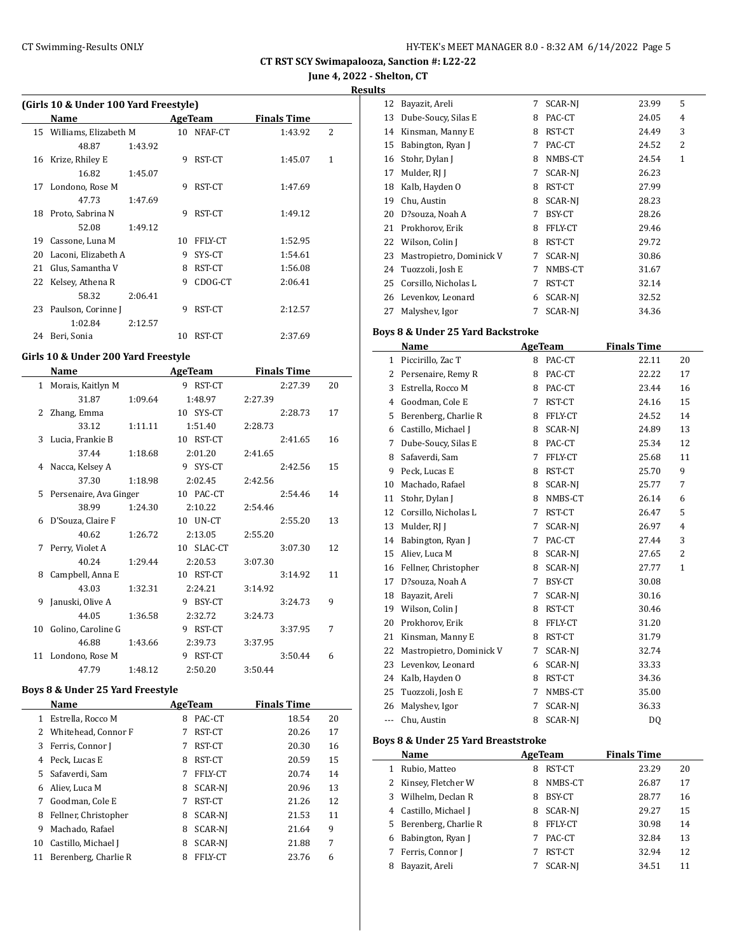**June 4, 2022 - Shelton, CT Results**

 $\overline{\phantom{a}}$ 

**(Girls 10 & Under 100 Yard Freestyle)**

|    | $\frac{1}{2}$ and $\frac{1}{2}$ $\frac{1}{2}$ $\frac{1}{2}$ and $\frac{1}{2}$ and $\frac{1}{2}$ and $\frac{1}{2}$ |         |    |            |                    |   |
|----|-------------------------------------------------------------------------------------------------------------------|---------|----|------------|--------------------|---|
|    | Name                                                                                                              |         |    | AgeTeam    | <b>Finals Time</b> |   |
|    | 15 Williams, Elizabeth M                                                                                          |         |    | 10 NFAF-CT | 1:43.92            | 2 |
|    | 48.87                                                                                                             | 1:43.92 |    |            |                    |   |
| 16 | Krize, Rhiley E                                                                                                   |         | 9  | RST-CT     | 1:45.07            | 1 |
|    | 16.82                                                                                                             | 1:45.07 |    |            |                    |   |
| 17 | Londono, Rose M                                                                                                   |         | 9  | RST-CT     | 1:47.69            |   |
|    | 47.73                                                                                                             | 1:47.69 |    |            |                    |   |
|    | 18 Proto, Sabrina N                                                                                               |         | 9  | RST-CT     | 1:49.12            |   |
|    | 52.08                                                                                                             | 1:49.12 |    |            |                    |   |
| 19 | Cassone, Luna M                                                                                                   |         | 10 | FFLY-CT    | 1:52.95            |   |
| 20 | Laconi, Elizabeth A                                                                                               |         | 9  | SYS-CT     | 1:54.61            |   |
| 21 | Glus, Samantha V                                                                                                  |         | 8  | RST-CT     | 1:56.08            |   |
|    | 22 Kelsey, Athena R                                                                                               |         | 9  | CDOG-CT    | 2:06.41            |   |
|    | 58.32                                                                                                             | 2:06.41 |    |            |                    |   |
| 23 | Paulson, Corinne J                                                                                                |         | 9  | RST-CT     | 2:12.57            |   |
|    | 1:02.84                                                                                                           | 2:12.57 |    |            |                    |   |
| 24 | Beri, Sonia                                                                                                       |         | 10 | RST-CT     | 2:37.69            |   |
|    |                                                                                                                   |         |    |            |                    |   |

## **Girls 10 & Under 200 Yard Freestyle**

 $\overline{\phantom{a}}$ 

L,

|              | Name                   |         | <b>AgeTeam</b> |         | <b>Finals Time</b> |    |
|--------------|------------------------|---------|----------------|---------|--------------------|----|
| $\mathbf{1}$ | Morais, Kaitlyn M      |         | 9 RST-CT       |         | 2:27.39            | 20 |
|              | 31.87                  | 1:09.64 | 1:48.97        | 2:27.39 |                    |    |
| 2            | Zhang, Emma            |         | 10 SYS-CT      |         | 2:28.73            | 17 |
|              | 33.12                  | 1:11.11 | 1:51.40        | 2:28.73 |                    |    |
| 3            | Lucia, Frankie B       |         | 10 RST-CT      |         | 2:41.65            | 16 |
|              | 37.44                  | 1:18.68 | 2:01.20        | 2:41.65 |                    |    |
| 4            | Nacca, Kelsey A        |         | 9 SYS-CT       |         | 2:42.56            | 15 |
|              | 37.30                  | 1:18.98 | 2:02.45        | 2:42.56 |                    |    |
| 5.           | Persenaire, Ava Ginger |         | 10 PAC-CT      |         | 2:54.46            | 14 |
|              | 38.99                  | 1:24.30 | 2:10.22        | 2:54.46 |                    |    |
| 6            | D'Souza, Claire F      |         | 10 UN-CT       |         | 2:55.20            | 13 |
|              | 40.62                  | 1:26.72 | 2:13.05        | 2:55.20 |                    |    |
| 7            | Perry, Violet A        |         | 10 SLAC-CT     |         | 3:07.30            | 12 |
|              | 40.24                  | 1:29.44 | 2:20.53        | 3:07.30 |                    |    |
| 8            | Campbell, Anna E       |         | 10 RST-CT      |         | 3:14.92            | 11 |
|              | 43.03                  | 1:32.31 | 2:24.21        | 3:14.92 |                    |    |
| 9            | Januski, Olive A       |         | 9 BSY-CT       |         | 3:24.73            | 9  |
|              | 44.05                  | 1:36.58 | 2:32.72        | 3:24.73 |                    |    |
| 10           | Golino, Caroline G     |         | 9 RST-CT       |         | 3:37.95            | 7  |
|              | 46.88                  | 1:43.66 | 2:39.73        | 3:37.95 |                    |    |
| 11           | Londono, Rose M        |         | 9 RST-CT       |         | 3:50.44            | 6  |
|              | 47.79                  | 1:48.12 | 2:50.20        | 3:50.44 |                    |    |

#### **Boys 8 & Under 25 Yard Freestyle**

|    | Name                 |   | AgeTeam        | <b>Finals Time</b> |    |
|----|----------------------|---|----------------|--------------------|----|
| 1  | Estrella, Rocco M    | 8 | PAC-CT         | 18.54              | 20 |
| 2  | Whitehead, Connor F  | 7 | RST-CT         | 20.26              | 17 |
| 3  | Ferris, Connor J     | 7 | RST-CT         | 20.30              | 16 |
| 4  | Peck, Lucas E        | 8 | RST-CT         | 20.59              | 15 |
| 5  | Safaverdi, Sam       | 7 | FFLY-CT        | 20.74              | 14 |
| 6  | Aliev, Luca M        | 8 | SCAR-NJ        | 20.96              | 13 |
| 7  | Goodman, Cole E      | 7 | RST-CT         | 21.26              | 12 |
| 8  | Fellner, Christopher | 8 | SCAR-NJ        | 21.53              | 11 |
| 9  | Machado, Rafael      | 8 | SCAR-NJ        | 21.64              | 9  |
| 10 | Castillo, Michael J  | 8 | SCAR-NJ        | 21.88              | 7  |
| 11 | Berenberg, Charlie R | 8 | <b>FFLY-CT</b> | 23.76              | 6  |

| ີ  |                          |   |                |       |              |
|----|--------------------------|---|----------------|-------|--------------|
| 12 | Bayazit, Areli           | 7 | <b>SCAR-NI</b> | 23.99 | 5            |
| 13 | Dube-Soucy, Silas E      | 8 | PAC-CT         | 24.05 | 4            |
| 14 | Kinsman, Manny E         | 8 | RST-CT         | 24.49 | 3            |
| 15 | Babington, Ryan J        | 7 | PAC-CT         | 24.52 | 2            |
| 16 | Stohr, Dylan J           | 8 | NMBS-CT        | 24.54 | $\mathbf{1}$ |
| 17 | Mulder, RJ J             | 7 | SCAR-NI        | 26.23 |              |
| 18 | Kalb, Hayden O           | 8 | RST-CT         | 27.99 |              |
| 19 | Chu, Austin              | 8 | <b>SCAR-NI</b> | 28.23 |              |
| 20 | D?souza, Noah A          | 7 | BSY-CT         | 28.26 |              |
| 21 | Prokhorov, Erik          | 8 | FFLY-CT        | 29.46 |              |
| 22 | Wilson, Colin J          | 8 | RST-CT         | 29.72 |              |
| 23 | Mastropietro, Dominick V | 7 | <b>SCAR-NI</b> | 30.86 |              |
| 24 | Tuozzoli, Josh E         | 7 | NMBS-CT        | 31.67 |              |
| 25 | Corsillo, Nicholas L     | 7 | RST-CT         | 32.14 |              |
| 26 | Levenkov, Leonard        | 6 | SCAR-NI        | 32.52 |              |
| 27 | Malyshev, Igor           | 7 | <b>SCAR-NI</b> | 34.36 |              |

#### **Boys 8 & Under 25 Yard Backstroke**

|         | Name                     |   | <b>AgeTeam</b> | <b>Finals Time</b> |                |
|---------|--------------------------|---|----------------|--------------------|----------------|
| 1       | Piccirillo, Zac T        | 8 | PAC-CT         | 22.11              | 20             |
| 2       | Persenaire, Remy R       | 8 | PAC-CT         | 22.22              | 17             |
| 3       | Estrella, Rocco M        | 8 | PAC-CT         | 23.44              | 16             |
| 4       | Goodman, Cole E          | 7 | RST-CT         | 24.16              | 15             |
| 5       | Berenberg, Charlie R     | 8 | FFLY-CT        | 24.52              | 14             |
| 6       | Castillo, Michael J      | 8 | SCAR-NI        | 24.89              | 13             |
| 7       | Dube-Soucy, Silas E      | 8 | PAC-CT         | 25.34              | 12             |
| 8       | Safaverdi, Sam           | 7 | FFLY-CT        | 25.68              | 11             |
| 9       | Peck, Lucas E            | 8 | RST-CT         | 25.70              | 9              |
| 10      | Machado, Rafael          | 8 | SCAR-NJ        | 25.77              | 7              |
| 11      | Stohr, Dylan J           | 8 | NMBS-CT        | 26.14              | 6              |
| 12      | Corsillo, Nicholas L     | 7 | RST-CT         | 26.47              | 5              |
| 13      | Mulder, RJ J             | 7 | SCAR-NI        | 26.97              | $\overline{4}$ |
| 14      | Babington, Ryan J        | 7 | PAC-CT         | 27.44              | 3              |
| 15      | Aliev, Luca M            | 8 | SCAR-NJ        | 27.65              | 2              |
| 16      | Fellner, Christopher     | 8 | SCAR-NJ        | 27.77              | $\mathbf{1}$   |
| 17      | D?souza, Noah A          | 7 | BSY-CT         | 30.08              |                |
| 18      | Bayazit, Areli           | 7 | SCAR-NI        | 30.16              |                |
| 19      | Wilson, Colin J          | 8 | RST-CT         | 30.46              |                |
| 20      | Prokhorov, Erik          | 8 | FFLY-CT        | 31.20              |                |
| 21      | Kinsman, Manny E         | 8 | RST-CT         | 31.79              |                |
| 22      | Mastropietro, Dominick V | 7 | SCAR-NJ        | 32.74              |                |
| 23      | Levenkov, Leonard        | 6 | SCAR-NJ        | 33.33              |                |
| 24      | Kalb, Hayden O           | 8 | RST-CT         | 34.36              |                |
| 25      | Tuozzoli, Josh E         | 7 | NMBS-CT        | 35.00              |                |
| 26      | Malyshev, Igor           | 7 | SCAR-NJ        | 36.33              |                |
| $- - -$ | Chu, Austin              | 8 | <b>SCAR-NI</b> | DQ                 |                |

#### **Boys 8 & Under 25 Yard Breaststroke**

|   | Name                   |   | AgeTeam        | <b>Finals Time</b> |       |    |
|---|------------------------|---|----------------|--------------------|-------|----|
|   | Rubio, Matteo          | 8 | RST-CT         |                    | 23.29 | 20 |
|   | 2 Kinsey, Fletcher W   | 8 | NMBS-CT        |                    | 26.87 | 17 |
|   | 3 Wilhelm, Declan R    | 8 | BSY-CT         |                    | 28.77 | 16 |
| 4 | Castillo, Michael J    | 8 | <b>SCAR-NI</b> |                    | 29.27 | 15 |
|   | 5 Berenberg, Charlie R | 8 | FFLY-CT        |                    | 30.98 | 14 |
| 6 | Babington, Ryan J      |   | PAC-CT         |                    | 32.84 | 13 |
|   | Ferris, Connor J       |   | RST-CT         |                    | 32.94 | 12 |
| 8 | Bayazit, Areli         |   | <b>SCAR-NI</b> |                    | 34.51 | 11 |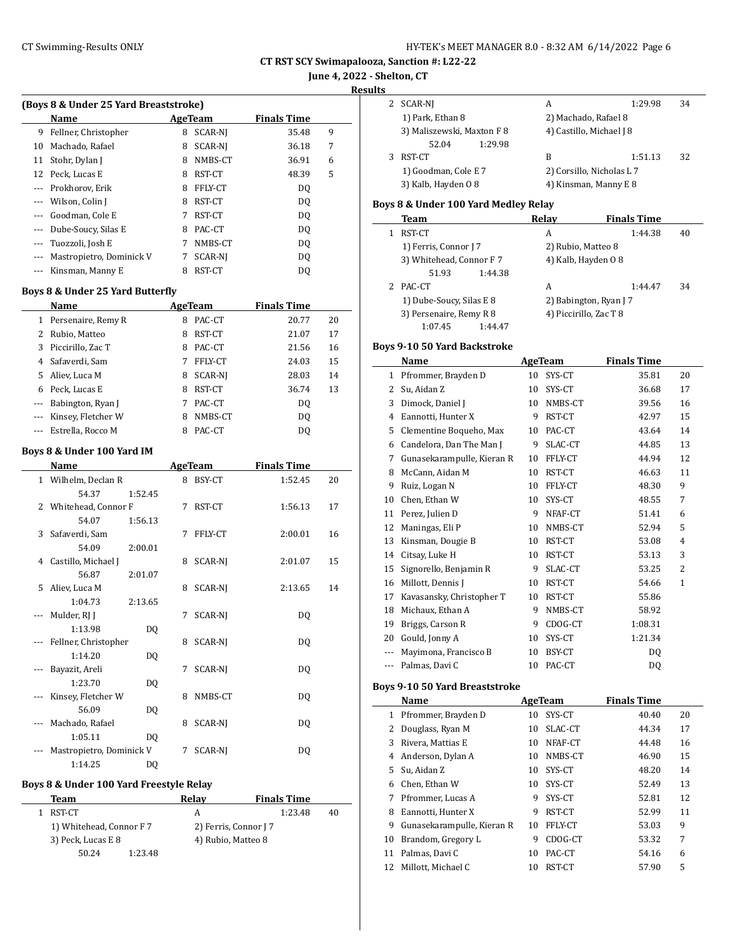| HY-TEK's MEET MANAGER 8.0 - 8:32 AM 6/14/2022 Page 6 |  |
|------------------------------------------------------|--|
|------------------------------------------------------|--|

**CT RST SCY Swimapalooza, Sanction #: L22-22**

**June 4, 2022 - Shelton, CT**

**Results**

|          | (Boys 8 & Under 25 Yard Breaststroke) |   |         |                    |   | 2 | SCAR-NI                |
|----------|---------------------------------------|---|---------|--------------------|---|---|------------------------|
|          | <b>Name</b>                           |   | AgeTeam | <b>Finals Time</b> |   |   | 1) Park, Ethan 8       |
| 9        | Fellner, Christopher                  | 8 | SCAR-NI | 35.48              | 9 |   | 3) Maliszewski, Max    |
| 10       | Machado, Rafael                       | 8 | SCAR-NI | 36.18              | 7 |   | 52.04                  |
| 11       | Stohr, Dylan J                        | 8 | NMBS-CT | 36.91              | 6 |   | RST-CT                 |
|          | 12 Peck, Lucas E                      | 8 | RST-CT  | 48.39              | 5 |   | 1) Goodman, Cole E     |
|          | Prokhorov, Erik                       | 8 | FFLY-CT | DQ                 |   |   | 3) Kalb, Hayden 08     |
|          | Wilson, Colin J                       | 8 | RST-CT  | DQ                 |   |   | Boys 8 & Under 100 Yar |
| $---$    | Goodman, Cole E                       |   | RST-CT  | DQ                 |   |   | <b>Team</b>            |
| $\cdots$ | Dube-Soucy, Silas E                   | 8 | PAC-CT  | DQ                 |   |   | RST-CT                 |
|          | Tuozzoli, Josh E                      |   | NMBS-CT | DQ                 |   |   | 1) Ferris, Connor J 7  |
|          | Mastropietro, Dominick V              |   | SCAR-NI | DQ                 |   |   | 3) Whitehead, Conno    |
|          | Kinsman, Manny E                      | 8 | RST-CT  | DQ                 |   |   | 51.93                  |

## **Boys 8 & Under 25 Yard Butterfly**

|    | Name               |   | AgeTeam | <b>Finals Time</b> |    |
|----|--------------------|---|---------|--------------------|----|
| 1  | Persenaire, Remy R | 8 | PAC-CT  | 20.77              | 20 |
| 2  | Rubio, Matteo      | 8 | RST-CT  | 21.07              | 17 |
| 3  | Piccirillo, Zac T  | 8 | PAC-CT  | 21.56              | 16 |
| 4  | Safaverdi, Sam     |   | FFLY-CT | 24.03              | 15 |
| 5. | Aliev, Luca M      | 8 | SCAR-NI | 28.03              | 14 |
| 6  | Peck, Lucas E      | 8 | RST-CT  | 36.74              | 13 |
|    | Babington, Ryan J  |   | PAC-CT  | DO.                |    |
|    | Kinsey, Fletcher W | 8 | NMBS-CT | DO.                |    |
|    | Estrella, Rocco M  |   | PAC-CT  | DO                 |    |

#### **Boys 8 & Under 100 Yard IM**

|                | Name                     |                |   | <b>AgeTeam</b> | <b>Finals Time</b> |    |
|----------------|--------------------------|----------------|---|----------------|--------------------|----|
| $\mathbf{1}$   | Wilhelm, Declan R        |                | 8 | BSY-CT         | 1:52.45            | 20 |
|                | 54.37                    | 1:52.45        |   |                |                    |    |
| $\overline{2}$ | Whitehead, Connor F      |                | 7 | RST-CT         | 1:56.13            | 17 |
|                | 54.07                    | 1:56.13        |   |                |                    |    |
| 3              | Safaverdi, Sam           |                | 7 | FFLY-CT        | 2:00.01            | 16 |
|                | 54.09                    | 2:00.01        |   |                |                    |    |
| 4              | Castillo, Michael J      |                | 8 | SCAR-NJ        | 2:01.07            | 15 |
|                | 56.87                    | 2:01.07        |   |                |                    |    |
| 5.             | Aliev, Luca M            |                | 8 | SCAR-NJ        | 2:13.65            | 14 |
|                | 1:04.73                  | 2:13.65        |   |                |                    |    |
|                | Mulder, RJ J             |                | 7 | <b>SCAR-NI</b> | DQ                 |    |
|                | 1:13.98                  | DQ             |   |                |                    |    |
|                | Fellner, Christopher     |                | 8 | SCAR-NJ        | DQ                 |    |
|                | 1:14.20                  | DQ             |   |                |                    |    |
|                | Bayazit, Areli           |                | 7 | <b>SCAR-NI</b> | DQ                 |    |
|                | 1:23.70                  | DQ             |   |                |                    |    |
|                | Kinsey, Fletcher W       |                | 8 | NMBS-CT        | DQ                 |    |
|                | 56.09                    | DO.            |   |                |                    |    |
|                | Machado, Rafael          |                | 8 | <b>SCAR-NI</b> | DQ                 |    |
|                | 1:05.11                  | D <sub>0</sub> |   |                |                    |    |
|                | Mastropietro, Dominick V |                | 7 | <b>SCAR-NI</b> | DQ                 |    |
|                | 1:14.25                  | DO             |   |                |                    |    |

#### **Boys 8 & Under 100 Yard Freestyle Relay**

| Team                     |         | Relav | <b>Finals Time</b>    |    |
|--------------------------|---------|-------|-----------------------|----|
| 1 RST-CT                 |         | А     | 1:23.48               | 40 |
| 1) Whitehead, Connor F 7 |         |       | 2) Ferris, Connor J 7 |    |
| 3) Peck, Lucas E 8       |         |       | 4) Rubio, Matteo 8    |    |
| 50.24                    | 1:23.48 |       |                       |    |

| 2 | SCAR-NI                            | A                         | 1:29.98 | 34 |
|---|------------------------------------|---------------------------|---------|----|
|   | 1) Park, Ethan 8                   | 2) Machado, Rafael 8      |         |    |
|   | 3) Maliszewski, Maxton F 8         | 4) Castillo, Michael J 8  |         |    |
|   | 52.04<br>1:29.98                   |                           |         |    |
| 3 | RST-CT                             | B                         | 1:51.13 | 32 |
|   | 1) Goodman, Cole E 7               | 2) Corsillo, Nicholas L 7 |         |    |
|   | 3) Kalb, Hayden 08                 | 4) Kinsman, Manny E 8     |         |    |
|   | ys 8 & Under 100 Yard Medley Relay |                           |         |    |

#### **Boys 8 & Under 100 Yard Medley Relay**

| Team                     | Relav                  | <b>Finals Time</b> |    |
|--------------------------|------------------------|--------------------|----|
| RST-CT                   | A                      | 1:44.38            | 40 |
| 1) Ferris, Connor J 7    | 2) Rubio, Matteo 8     |                    |    |
| 3) Whitehead, Connor F 7 | 4) Kalb, Hayden 08     |                    |    |
| 51.93<br>1:44.38         |                        |                    |    |
| PAC-CT                   | А                      | 1:44.47            | 34 |
| 1) Dube-Soucy, Silas E 8 | 2) Babington, Ryan J 7 |                    |    |
| 3) Persenaire, Remy R 8  | 4) Piccirillo, Zac T 8 |                    |    |
| 1:07.45<br>1:44.47       |                        |                    |    |

### **Boys 9-10 50 Yard Backstroke**

|       | Name                       |    | <b>AgeTeam</b> | <b>Finals Time</b> |                |  |
|-------|----------------------------|----|----------------|--------------------|----------------|--|
| 1     | Pfrommer, Brayden D        | 10 | SYS-CT         | 35.81              | 20             |  |
| 2     | Su, Aidan Z                | 10 | SYS-CT         | 36.68              | 17             |  |
| 3     | Dimock, Daniel J           | 10 | NMBS-CT        | 39.56              | 16             |  |
| 4     | Eannotti, Hunter X         | 9  | RST-CT         | 42.97              | 15             |  |
| 5     | Clementine Boqueho, Max    | 10 | PAC-CT         | 43.64              | 14             |  |
| 6     | Candelora, Dan The Man J   | 9  | SLAC-CT        | 44.85              | 13             |  |
| 7     | Gunasekarampulle, Kieran R | 10 | FFLY-CT        | 44.94              | 12             |  |
| 8     | McCann, Aidan M            | 10 | RST-CT         | 46.63              | 11             |  |
| 9     | Ruiz, Logan N              | 10 | FFLY-CT        | 48.30              | 9              |  |
| 10    | Chen, Ethan W              | 10 | SYS-CT         | 48.55              | 7              |  |
| 11    | Perez, Julien D            | 9  | NFAF-CT        | 51.41              | 6              |  |
| 12    | Maningas, Eli P            | 10 | NMBS-CT        | 52.94              | 5              |  |
| 13    | Kinsman, Dougie B          | 10 | RST-CT         | 53.08              | $\overline{4}$ |  |
| 14    | Citsay, Luke H             | 10 | RST-CT         | 53.13              | 3              |  |
| 15    | Signorello, Benjamin R     | 9  | SLAC-CT        | 53.25              | 2              |  |
| 16    | Millott, Dennis J          | 10 | RST-CT         | 54.66              | $\mathbf{1}$   |  |
| 17    | Kavasansky, Christopher T  | 10 | RST-CT         | 55.86              |                |  |
| 18    | Michaux, Ethan A           | 9  | NMBS-CT        | 58.92              |                |  |
| 19    | Briggs, Carson R           | 9  | CDOG-CT        | 1:08.31            |                |  |
| 20    | Gould, Jonny A             | 10 | SYS-CT         | 1:21.34            |                |  |
| ---   | Mayimona, Francisco B      | 10 | BSY-CT         | DO.                |                |  |
| $---$ | Palmas, Davi C             | 10 | PAC-CT         | DQ                 |                |  |

#### **Boys 9-10 50 Yard Breaststroke**

|    | Name                       |    | AgeTeam | <b>Finals Time</b> |    |
|----|----------------------------|----|---------|--------------------|----|
| 1  | Pfrommer, Brayden D        | 10 | SYS-CT  | 40.40              | 20 |
| 2  | Douglass, Ryan M           | 10 | SLAC-CT | 44.34              | 17 |
| 3  | Rivera, Mattias E          | 10 | NFAF-CT | 44.48              | 16 |
| 4  | Anderson, Dylan A          | 10 | NMBS-CT | 46.90              | 15 |
| 5. | Su, Aidan Z                | 10 | SYS-CT  | 48.20              | 14 |
| 6  | Chen, Ethan W              | 10 | SYS-CT  | 52.49              | 13 |
| 7  | Pfrommer, Lucas A          | 9  | SYS-CT  | 52.81              | 12 |
| 8  | Eannotti, Hunter X         | 9  | RST-CT  | 52.99              | 11 |
| 9  | Gunasekarampulle, Kieran R | 10 | FFLY-CT | 53.03              | 9  |
| 10 | Brandom, Gregory L         | 9  | CDOG-CT | 53.32              | 7  |
| 11 | Palmas, Davi C             | 10 | PAC-CT  | 54.16              | 6  |
| 12 | Millott, Michael C         | 10 | RST-CT  | 57.90              | 5  |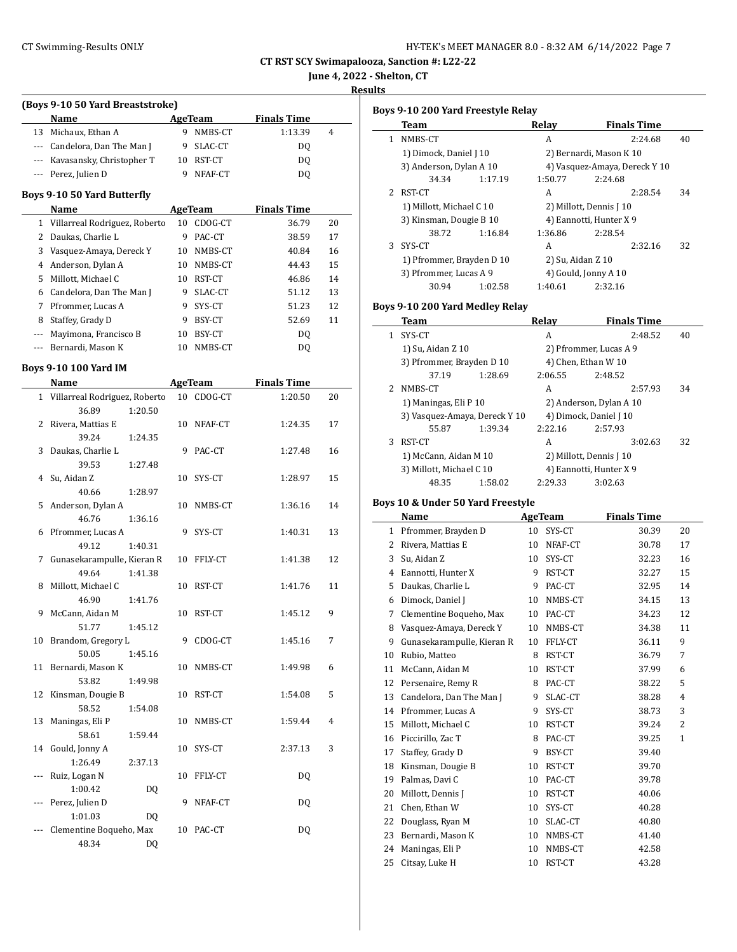**June 4, 2022 - Shelton, CT**

**Results**

|                       | (Boys 9-10 50 Yard Breaststroke)     |    |                    |                    |    |
|-----------------------|--------------------------------------|----|--------------------|--------------------|----|
|                       | Name                                 |    | AgeTeam            | <b>Finals Time</b> |    |
|                       | 13 Michaux, Ethan A                  | 9  | NMBS-CT            | 1:13.39            | 4  |
|                       | --- Candelora, Dan The Man J         | 9  | SLAC-CT            | DQ                 |    |
|                       | --- Kavasansky, Christopher T        |    | 10 RST-CT          | DQ                 |    |
|                       | --- Perez, Julien D                  | 9  | NFAF-CT            | DQ                 |    |
|                       | Boys 9-10 50 Yard Butterfly          |    |                    |                    |    |
|                       | Name                                 |    | AgeTeam            | <b>Finals Time</b> |    |
|                       | 1 Villarreal Rodriguez, Roberto      | 10 | CDOG-CT            | 36.79              | 20 |
| $\mathbf{2}^{\prime}$ | Daukas, Charlie L                    | 9  | PAC-CT             | 38.59              | 17 |
| 3                     | Vasquez-Amaya, Dereck Y              |    | 10 NMBS-CT         | 40.84              | 16 |
|                       | 4 Anderson, Dylan A                  |    | 10 NMBS-CT         | 44.43              | 15 |
| 5                     | Millott, Michael C                   |    | 10 RST-CT          | 46.86              | 14 |
| 6                     | Candelora, Dan The Man J             |    | 9 SLAC-CT          | 51.12              | 13 |
| 7                     | Pfrommer, Lucas A                    | 9. | SYS-CT             | 51.23              | 12 |
| 8                     | Staffey, Grady D                     |    | 9 BSY-CT           | 52.69              | 11 |
| ---                   | Mayimona, Francisco B                | 10 | BSY-CT             | DQ                 |    |
| $\cdots$              | Bernardi, Mason K                    | 10 | NMBS-CT            | <b>DQ</b>          |    |
|                       |                                      |    |                    |                    |    |
|                       | <b>Boys 9-10 100 Yard IM</b><br>Name |    |                    | <b>Finals Time</b> |    |
|                       | 1 Villarreal Rodriguez, Roberto      | 10 | AgeTeam<br>CDOG-CT | 1:20.50            | 20 |
|                       | 36.89<br>1:20.50                     |    |                    |                    |    |
| 2                     | Rivera, Mattias E                    | 10 | NFAF-CT            | 1:24.35            | 17 |
|                       | 39.24<br>1:24.35                     |    |                    |                    |    |
| 3                     | Daukas, Charlie L                    | 9  | PAC-CT             | 1:27.48            | 16 |
|                       | 39.53<br>1:27.48                     |    |                    |                    |    |
| 4                     | Su, Aidan Z                          | 10 | SYS-CT             | 1:28.97            | 15 |
|                       | 40.66<br>1:28.97                     |    |                    |                    |    |
| 5                     | Anderson, Dylan A                    | 10 | NMBS-CT            | 1:36.16            | 14 |
|                       | 46.76<br>1:36.16                     |    |                    |                    |    |
| 6                     | Pfrommer, Lucas A                    | 9  | SYS-CT             | 1:40.31            | 13 |
|                       | 49.12<br>1:40.31                     |    |                    |                    |    |
| 7                     | Gunasekarampulle, Kieran R           | 10 | FFLY-CT            | 1:41.38            | 12 |
|                       | 49.64<br>1:41.38                     |    |                    |                    |    |
| 8                     | Millott, Michael C                   | 10 | RST-CT             | 1:41.76            | 11 |
|                       | 46.90<br>1:41.76                     |    |                    |                    |    |
| 9                     | McCann, Aidan M                      | 10 | RST-CT             | 1:45.12            | 9  |
|                       | 51.77<br>1:45.12                     |    |                    |                    |    |
|                       | 10 Brandom, Gregory L                | 9  | CDOG-CT            | 1:45.16            | 7  |
|                       | 50.05<br>1:45.16                     |    |                    |                    |    |
| 11                    | Bernardi, Mason K                    | 10 | NMBS-CT            | 1:49.98            | 6  |
|                       | 53.82<br>1:49.98                     |    |                    |                    |    |
| 12                    | Kinsman, Dougie B                    | 10 | RST-CT             | 1:54.08            | 5  |
|                       | 58.52<br>1:54.08                     |    |                    |                    |    |
| 13                    | Maningas, Eli P                      | 10 | NMBS-CT            | 1:59.44            | 4  |
|                       | 58.61<br>1:59.44<br>Gould, Jonny A   |    |                    |                    |    |
| 14                    | 1:26.49                              | 10 | SYS-CT             | 2:37.13            | 3  |
| ---                   | 2:37.13<br>Ruiz, Logan N             | 10 | FFLY-CT            | DQ                 |    |
|                       | 1:00.42                              | DQ |                    |                    |    |
| ---                   | Perez, Julien D                      | 9  | NFAF-CT            | DQ                 |    |
|                       | 1:01.03                              | DQ |                    |                    |    |
| ---                   | Clementine Boqueho, Max              |    | 10 PAC-CT          | DQ                 |    |
|                       | 48.34                                | DQ |                    |                    |    |

|              | Team                              | Relay   |                         | <b>Finals Time</b>            |    |
|--------------|-----------------------------------|---------|-------------------------|-------------------------------|----|
| $\mathbf{1}$ | NMBS-CT                           |         | A                       | 2:24.68                       | 40 |
|              | 1) Dimock, Daniel J 10            |         |                         | 2) Bernardi, Mason K 10       |    |
|              | 3) Anderson, Dylan A 10           |         |                         | 4) Vasquez-Amaya, Dereck Y 10 |    |
|              | 34.34<br>1:17.19                  |         | 1:50.77                 | 2:24.68                       |    |
| 2            | RST-CT                            |         | A                       | 2:28.54                       | 34 |
|              | 1) Millott, Michael C 10          |         | 2) Millott, Dennis J 10 |                               |    |
|              | 3) Kinsman, Dougie B 10           |         | 4) Eannotti, Hunter X 9 |                               |    |
|              | 38.72<br>1:16.84                  |         | 1:36.86                 | 2:28.54                       |    |
| 3            | SYS-CT                            |         | A                       | 2:32.16                       | 32 |
|              | 1) Pfrommer, Brayden D 10         |         | 2) Su, Aidan Z 10       |                               |    |
|              | 3) Pfrommer, Lucas A 9            |         | 4) Gould, Jonny A 10    |                               |    |
|              | 30.94<br>1:02.58                  |         | 1:40.61                 | 2:32.16                       |    |
|              | Boys 9-10 200 Yard Medley Relay   |         |                         |                               |    |
|              | Team                              | Relay   |                         | <b>Finals Time</b>            |    |
| $\mathbf{1}$ | SYS-CT                            |         | A                       | 2:48.52                       | 40 |
|              | 1) Su, Aidan Z 10                 |         |                         | 2) Pfrommer, Lucas A 9        |    |
|              | 3) Pfrommer, Brayden D 10         |         | 4) Chen, Ethan W 10     |                               |    |
|              | 37.19<br>1:28.69                  |         | 2:06.55                 | 2:48.52                       |    |
| 2            | NMBS-CT                           |         | A                       | 2:57.93                       | 34 |
|              | 1) Maningas, Eli P 10             |         |                         | 2) Anderson, Dylan A 10       |    |
|              | 3) Vasquez-Amaya, Dereck Y 10     |         | 4) Dimock, Daniel J 10  |                               |    |
|              | 55.87<br>1:39.34                  |         | 2:22.16                 | 2:57.93                       |    |
| 3            | RST-CT                            |         | A                       | 3:02.63                       | 32 |
|              | 1) McCann, Aidan M 10             |         | 2) Millott, Dennis J 10 |                               |    |
|              | 3) Millott, Michael C 10          |         | 4) Eannotti, Hunter X 9 |                               |    |
|              | 48.35<br>1:58.02                  |         | 2:29.33                 | 3:02.63                       |    |
|              | Boys 10 & Under 50 Yard Freestyle |         |                         |                               |    |
|              | Name                              | AgeTeam |                         | <b>Finals Time</b>            |    |
|              | 1 Pfrommer, Brayden D             |         | 10 SYS-CT               | 30.39                         | 20 |
|              | 2 Rivera, Mattias E               |         | 10 NFAF-CT              | 30.78                         | 17 |
|              | 3 Su, Aidan Z                     |         | 10 SYS-CT               | 32.23                         | 16 |
|              | 4 Eannotti, Hunter X              | 9       | RST-CT                  | 32.27                         | 15 |
| 5            | Daukas, Charlie L                 | 9       | PAC-CT                  | 32.95                         | 14 |
|              | 6 Dimock, Daniel J                |         | 10 NMBS-CT              | 34.15                         | 13 |
| 7            | Clementine Boqueho, Max           |         | 10 PAC-CT               | 34.23                         | 12 |
| 8            | Vasquez-Amaya, Dereck Y           |         | 10 NMBS-CT              | 34.38                         | 11 |
| 9            | Gunasekarampulle, Kieran R        | 10      | FFLY-CT                 | 36.11                         | 9  |
| 10           | Rubio, Matteo                     | 8       | RST-CT                  | 36.79                         | 7  |
| 11           | McCann, Aidan M                   | 10      | RST-CT                  | 37.99                         | 6  |
| 12           | Persenaire, Remy R                | 8       | PAC-CT                  | 38.22                         | 5  |
| 13           | Candelora, Dan The Man J          | 9       | SLAC-CT                 | 38.28                         | 4  |
| 14           | Pfrommer, Lucas A                 | 9       | SYS-CT                  | 38.73                         | 3  |
| 15           | Millott, Michael C                | 10      | RST-CT                  | 39.24                         | 2  |
| 16           | Piccirillo, Zac T                 | 8       | PAC-CT                  | 39.25                         | 1  |
|              | Staffey, Grady D                  | 9       | BSY-CT                  | 39.40                         |    |
| 17           |                                   |         | RST-CT                  | 39.70                         |    |
| 18           | Kinsman, Dougie B                 | 10      |                         |                               |    |
| 19           | Palmas, Davi C                    | 10      | PAC-CT                  | 39.78                         |    |
| 20           | Millott, Dennis J                 | 10      |                         | 40.06                         |    |
| 21           | Chen, Ethan W                     | 10      | RST-CT<br>SYS-CT        | 40.28                         |    |

23 Bernardi, Mason K 10 NMBS-CT 41.40 24 Maningas, Eli P 10 NMBS-CT 42.58 25 Citsay, Luke H 10 RST-CT 43.28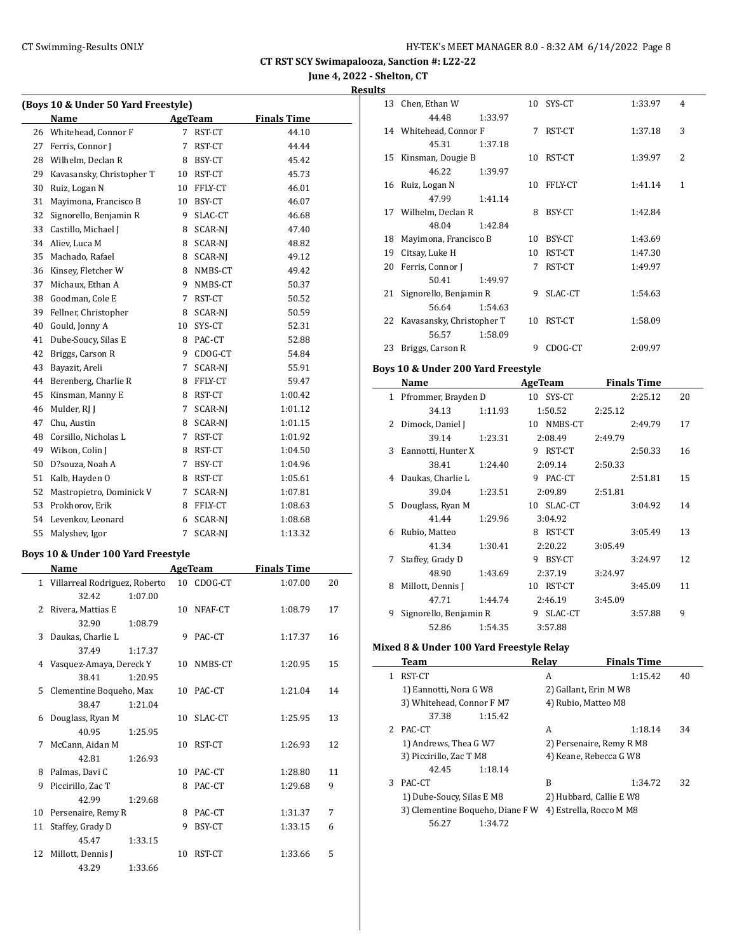**June 4, 2022 - Shelton, CT**

**Results**

| (Boys 10 & Under 50 Yard Freestyle) |                                    |         |                |                |                    |    |
|-------------------------------------|------------------------------------|---------|----------------|----------------|--------------------|----|
|                                     | Name                               |         |                | <b>AgeTeam</b> | <b>Finals Time</b> |    |
| 26                                  | Whitehead, Connor F                |         | 7              | RST-CT         | 44.10              |    |
| 27                                  | Ferris, Connor J                   |         | 7              | RST-CT         | 44.44              |    |
|                                     | 28 Wilhelm, Declan R               |         | 8              | BSY-CT         | 45.42              |    |
| 29                                  | Kavasansky, Christopher T          |         |                | 10 RST-CT      | 45.73              |    |
| 30                                  | Ruiz, Logan N                      |         |                | 10 FFLY-CT     | 46.01              |    |
| 31                                  | Mayimona, Francisco B              |         |                | 10 BSY-CT      | 46.07              |    |
| 32                                  | Signorello, Benjamin R             |         |                | 9 SLAC-CT      | 46.68              |    |
| 33                                  | Castillo, Michael J                |         |                | 8 SCAR-NJ      | 47.40              |    |
| 34                                  | Aliev, Luca M                      |         |                | 8 SCAR-NJ      | 48.82              |    |
| 35                                  | Machado, Rafael                    |         |                | 8 SCAR-NJ      | 49.12              |    |
| 36                                  | Kinsey, Fletcher W                 |         |                | 8 NMBS-CT      | 49.42              |    |
| 37                                  | Michaux, Ethan A                   |         |                | 9 NMBS-CT      | 50.37              |    |
| 38                                  | Goodman, Cole E                    |         |                | 7 RST-CT       | 50.52              |    |
| 39                                  | Fellner, Christopher               |         |                | 8 SCAR-NJ      | 50.59              |    |
| 40                                  | Gould, Jonny A                     |         |                | 10 SYS-CT      | 52.31              |    |
| 41                                  | Dube-Soucy, Silas E                |         |                | 8 PAC-CT       | 52.88              |    |
| 42                                  | Briggs, Carson R                   |         |                | 9 CDOG-CT      | 54.84              |    |
| 43                                  | Bayazit, Areli                     |         |                | 7 SCAR-NJ      | 55.91              |    |
| 44                                  | Berenberg, Charlie R               |         |                | 8 FFLY-CT      | 59.47              |    |
| 45                                  | Kinsman, Manny E                   |         |                |                |                    |    |
|                                     |                                    |         |                | 8 RST-CT       | 1:00.42            |    |
| 46                                  | Mulder, RJ J                       |         | 7              | SCAR-NJ        | 1:01.12            |    |
| 47                                  | Chu, Austin                        |         |                | 8 SCAR-NJ      | 1:01.15            |    |
| 48                                  | Corsillo, Nicholas L               |         | 7              | RST-CT         | 1:01.92            |    |
| 49                                  | Wilson, Colin J                    |         |                | 8 RST-CT       | 1:04.50            |    |
| 50                                  | D?souza, Noah A                    |         | 7 <sup>7</sup> | BSY-CT         | 1:04.96            |    |
| 51                                  | Kalb, Hayden O                     |         |                | 8 RST-CT       | 1:05.61            |    |
| 52                                  | Mastropietro, Dominick V           |         |                | 7 SCAR-NJ      | 1:07.81            |    |
| 53                                  | Prokhorov, Erik                    |         |                | 8 FFLY-CT      | 1:08.63            |    |
|                                     | 54 Levenkov, Leonard               |         |                | 6 SCAR-NJ      | 1:08.68            |    |
| 55                                  | Malyshev, Igor                     |         | 7              | SCAR-NJ        | 1:13.32            |    |
|                                     | Boys 10 & Under 100 Yard Freestyle |         |                |                |                    |    |
|                                     | Name                               |         |                | <b>AgeTeam</b> | <b>Finals Time</b> |    |
|                                     | 1 Villarreal Rodriguez, Roberto    |         |                | 10 CDOG-CT     | 1:07.00            | 20 |
|                                     | 32.42                              | 1:07.00 |                |                |                    |    |
| 2                                   | Rivera, Mattias E                  |         | 10             | NFAF-CT        | 1:08.79            | 17 |
|                                     | 32.90                              | 1:08.79 |                |                |                    |    |
|                                     | 3 Daukas, Charlie L                |         | 9              | PAC-CT         | 1:17.37            | 16 |
|                                     | 37.49                              | 1:17.37 |                |                |                    |    |
|                                     | 4 Vasquez-Amaya, Dereck Y          |         |                | 10 NMBS-CT     | 1:20.95            | 15 |
|                                     | 38.41                              | 1:20.95 |                |                |                    |    |
| 5                                   | Clementine Boqueho, Max            |         | 10             | PAC-CT         | 1:21.04            | 14 |
|                                     | 38.47                              | 1:21.04 |                |                |                    |    |
| 6                                   | Douglass, Ryan M                   |         | 10             | SLAC-CT        | 1:25.95            | 13 |
|                                     | 40.95                              | 1:25.95 |                |                |                    |    |
| 7                                   | McCann, Aidan M                    |         | 10             | RST-CT         | 1:26.93            | 12 |
|                                     | 42.81                              | 1:26.93 |                |                |                    |    |
| 8                                   | Palmas, Davi C                     |         |                | 10 PAC-CT      | 1:28.80            | 11 |
| 9                                   | Piccirillo, Zac T                  |         | 8              | PAC-CT         | 1:29.68            | 9  |
|                                     | 42.99                              | 1:29.68 |                |                |                    |    |
| 10                                  | Persenaire, Remy R                 |         |                | 8 PAC-CT       | 1:31.37            | 7  |
| 11                                  | Staffey, Grady D                   |         | 9              | BSY-CT         | 1:33.15            | 6  |
|                                     | 45.47                              | 1:33.15 |                |                |                    |    |
| 12                                  | Millott, Dennis J                  |         | 10             | RST-CT         | 1:33.66            | 5  |
|                                     | 43.29                              | 1:33.66 |                |                |                    |    |

| s  |                           |         |    |           |         |   |
|----|---------------------------|---------|----|-----------|---------|---|
| 13 | Chen, Ethan W             |         |    | 10 SYS-CT | 1:33.97 | 4 |
|    | 44.48                     | 1:33.97 |    |           |         |   |
|    | 14 Whitehead, Connor F    |         | 7  | RST-CT    | 1:37.18 | 3 |
|    | 45.31                     | 1:37.18 |    |           |         |   |
| 15 | Kinsman, Dougie B         |         | 10 | RST-CT    | 1:39.97 | 2 |
|    | 46.22                     | 1:39.97 |    |           |         |   |
| 16 | Ruiz, Logan N             |         | 10 | FFLY-CT   | 1:41.14 | 1 |
|    | 47.99                     | 1:41.14 |    |           |         |   |
|    | 17 Wilhelm, Declan R      |         | 8  | BSY-CT    | 1:42.84 |   |
|    | 48.04                     | 1:42.84 |    |           |         |   |
| 18 | Mayimona, Francisco B     |         | 10 | BSY-CT    | 1:43.69 |   |
| 19 | Citsay, Luke H            |         | 10 | RST-CT    | 1:47.30 |   |
| 20 | Ferris, Connor J          |         | 7  | RST-CT    | 1:49.97 |   |
|    | 50.41                     | 1:49.97 |    |           |         |   |
| 21 | Signorello, Benjamin R    |         | 9  | SLAC-CT   | 1:54.63 |   |
|    | 56.64                     | 1:54.63 |    |           |         |   |
| 22 | Kavasansky, Christopher T |         | 10 | RST-CT    | 1:58.09 |   |
|    | 56.57                     | 1:58.09 |    |           |         |   |
| 23 | Briggs, Carson R          |         | 9  | CDOG-CT   | 2:09.97 |   |
|    |                           |         |    |           |         |   |

#### **Boys 10 & Under 200 Yard Freestyle**

|    | Name                   |         |    | AgeTeam    |         | <b>Finals Time</b> |    |
|----|------------------------|---------|----|------------|---------|--------------------|----|
| 1  | Pfrommer, Brayden D    |         |    | 10 SYS-CT  |         | 2:25.12            | 20 |
|    | 34.13                  | 1:11.93 |    | 1:50.52    | 2:25.12 |                    |    |
| 2. | Dimock, Daniel J       |         |    | 10 NMBS-CT |         | 2:49.79            | 17 |
|    | 39.14                  | 1:23.31 |    | 2:08.49    | 2:49.79 |                    |    |
| 3  | Eannotti, Hunter X     |         |    | 9 RST-CT   |         | 2:50.33            | 16 |
|    | 38.41                  | 1:24.40 |    | 2:09.14    | 2:50.33 |                    |    |
| 4  | Daukas, Charlie L      |         |    | 9 PAC-CT   |         | 2:51.81            | 15 |
|    | 39.04                  | 1:23.51 |    | 2:09.89    | 2:51.81 |                    |    |
| 5  | Douglass, Ryan M       |         |    | 10 SLAC-CT |         | 3:04.92            | 14 |
|    | 41.44                  | 1:29.96 |    | 3:04.92    |         |                    |    |
| 6  | Rubio, Matteo          |         | 8  | RST-CT     |         | 3:05.49            | 13 |
|    | 41.34                  | 1:30.41 |    | 2:20.22    | 3:05.49 |                    |    |
| 7  | Staffey, Grady D       |         | 9  | BSY-CT     |         | 3:24.97            | 12 |
|    | 48.90                  | 1:43.69 |    | 2:37.19    | 3:24.97 |                    |    |
| 8  | Millott, Dennis J      |         | 10 | RST-CT     |         | 3:45.09            | 11 |
|    | 47.71                  | 1:44.74 |    | 2:46.19    | 3:45.09 |                    |    |
| 9  | Signorello, Benjamin R |         | 9  | SLAC-CT    |         | 3:57.88            | 9  |
|    | 52.86                  | 1:54.35 |    | 3:57.88    |         |                    |    |

#### **Mixed 8 & Under 100 Yard Freestyle Relay**

|    | <b>Team</b>                      | Relav   | <b>Finals Time</b>       |    |
|----|----------------------------------|---------|--------------------------|----|
| 1. | RST-CT                           | A       | 1:15.42                  | 40 |
|    | 1) Eannotti, Nora G W8           |         | 2) Gallant, Erin M W8    |    |
|    | 3) Whitehead, Connor F M7        |         | 4) Rubio, Matteo M8      |    |
|    | 37.38<br>1:15.42                 |         |                          |    |
|    | 2 PAC-CT                         | A       | 1:18.14                  | 34 |
|    | 1) Andrews, Thea G W7            |         | 2) Persenaire, Remy R M8 |    |
|    | 3) Piccirillo, Zac T M8          |         | 4) Keane, Rebecca G W8   |    |
|    | 42.45<br>1:18.14                 |         |                          |    |
| 3  | PAC-CT                           | B       | 1:34.72                  | 32 |
|    | 1) Dube-Soucy, Silas E M8        |         | 2) Hubbard, Callie E W8  |    |
|    | 3) Clementine Boqueho, Diane F W |         | 4) Estrella, Rocco M M8  |    |
|    | 56.27                            | 1:34.72 |                          |    |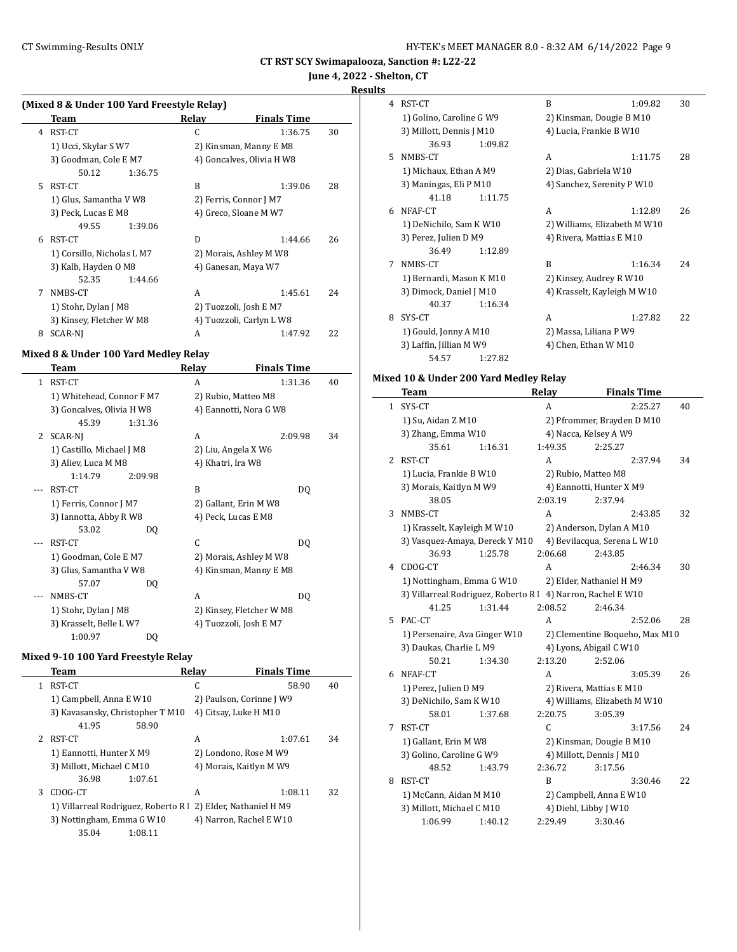# **June 4, 2022 - Shelton, CT**

**Results**

 $\frac{1}{2}$ 

| (Mixed 8 & Under 100 Yard Freestyle Relay) |  |  |  |
|--------------------------------------------|--|--|--|
|                                            |  |  |  |

|    | Team                       | Relay | <b>Finals Time</b>        |    |
|----|----------------------------|-------|---------------------------|----|
| 4  | RST-CT                     | C     | 1:36.75                   | 30 |
|    | 1) Ucci, Skylar S W7       |       | 2) Kinsman, Manny E M8    |    |
|    | 3) Goodman, Cole E M7      |       | 4) Goncalves, Olivia H W8 |    |
|    | 50.12<br>1:36.75           |       |                           |    |
| 5. | RST-CT                     | B     | 1:39.06                   | 28 |
|    | 1) Glus, Samantha V W8     |       | 2) Ferris, Connor J M7    |    |
|    | 3) Peck, Lucas E M8        |       | 4) Greco, Sloane M W7     |    |
|    | 49.55<br>1:39.06           |       |                           |    |
| 6  | RST-CT                     | D     | 1:44.66                   | 26 |
|    | 1) Corsillo, Nicholas L M7 |       | 2) Morais, Ashley M W8    |    |
|    | 3) Kalb, Hayden O M8       |       | 4) Ganesan, Maya W7       |    |
|    | 52.35<br>1:44.66           |       |                           |    |
| 7  | NMBS-CT                    | A     | 1:45.61                   | 24 |
|    | 1) Stohr, Dylan J M8       |       | 2) Tuozzoli, Josh E M7    |    |
|    | 3) Kinsey, Fletcher W M8   |       | 4) Tuozzoli, Carlyn L W8  |    |
| 8  | SCAR-NI                    | A     | 1:47.92                   | 22 |

#### **Mixed 8 & Under 100 Yard Medley Relay**

|   | Team                      |         | Relay                  | <b>Finals Time</b>       |    |
|---|---------------------------|---------|------------------------|--------------------------|----|
| 1 | RST-CT                    |         | A                      | 1:31.36                  | 40 |
|   | 1) Whitehead, Connor F M7 |         | 2) Rubio, Matteo M8    |                          |    |
|   | 3) Goncalves, Olivia H W8 |         |                        | 4) Eannotti, Nora G W8   |    |
|   | 45.39                     | 1:31.36 |                        |                          |    |
| 2 | SCAR-NJ                   |         | A                      | 2:09.98                  | 34 |
|   | 1) Castillo, Michael J M8 |         | 2) Liu, Angela X W6    |                          |    |
|   | 3) Aliev, Luca M M8       |         | 4) Khatri, Ira W8      |                          |    |
|   | 1:14.79                   | 2:09.98 |                        |                          |    |
|   | RST-CT                    |         | B                      | DQ                       |    |
|   | 1) Ferris, Connor J M7    |         | 2) Gallant, Erin M W8  |                          |    |
|   | 3) Iannotta, Abby R W8    |         | 4) Peck, Lucas E M8    |                          |    |
|   | 53.02                     | DQ      |                        |                          |    |
|   | RST-CT                    |         | C                      | DQ                       |    |
|   | 1) Goodman, Cole E M7     |         |                        | 2) Morais, Ashley M W8   |    |
|   | 3) Glus, Samantha V W8    |         |                        | 4) Kinsman, Manny E M8   |    |
|   | 57.07                     | DQ      |                        |                          |    |
|   | NMBS-CT                   |         | A                      | DO.                      |    |
|   | 1) Stohr, Dylan J M8      |         |                        | 2) Kinsey, Fletcher W M8 |    |
|   | 3) Krasselt, Belle L W7   |         | 4) Tuozzoli, Josh E M7 |                          |    |
|   | 1:00.97                   | DQ      |                        |                          |    |

#### **Mixed 9-10 100 Yard Freestyle Relay**

|               | Team                                                          | Relay                    | <b>Finals Time</b> |    |
|---------------|---------------------------------------------------------------|--------------------------|--------------------|----|
| 1             | RST-CT                                                        | C                        | 58.90              | 40 |
|               | 1) Campbell, Anna E W10                                       | 2) Paulson, Corinne J W9 |                    |    |
|               | 3) Kavasansky, Christopher T M10                              | 4) Citsay, Luke H M10    |                    |    |
|               | 41.95<br>58.90                                                |                          |                    |    |
| $\mathcal{L}$ | RST-CT                                                        | A                        | 1:07.61            | 34 |
|               | 1) Eannotti, Hunter X M9                                      | 2) Londono, Rose M W9    |                    |    |
|               | 3) Millott, Michael C M10                                     | 4) Morais, Kaitlyn M W9  |                    |    |
|               | 1:07.61<br>36.98                                              |                          |                    |    |
| 3             | CDOG-CT                                                       | A                        | 1:08.11            | 32 |
|               | 1) Villarreal Rodriguez, Roberto R   2) Elder, Nathaniel H M9 |                          |                    |    |
|               | 3) Nottingham, Emma G W10                                     | 4) Narron, Rachel E W10  |                    |    |
|               | 35.04<br>1:08.11                                              |                          |                    |    |
|               |                                                               |                          |                    |    |

| 4            | RST-CT                                                       | B            | 1:09.82                                          | 30 |
|--------------|--------------------------------------------------------------|--------------|--------------------------------------------------|----|
|              | 1) Golino, Caroline G W9                                     |              | 2) Kinsman, Dougie B M10                         |    |
|              | 3) Millott, Dennis J M10                                     |              | 4) Lucia, Frankie B W10                          |    |
|              | 36.93<br>1:09.82                                             |              |                                                  |    |
| 5            | NMBS-CT                                                      | A            | 1:11.75                                          | 28 |
|              | 1) Michaux, Ethan A M9                                       |              | 2) Dias, Gabriela W10                            |    |
|              | 3) Maningas, Eli P M10                                       |              | 4) Sanchez, Serenity P W10                       |    |
|              | 41.18<br>1:11.75                                             |              |                                                  |    |
| 6            | NFAF-CT                                                      | A            | 1:12.89                                          | 26 |
|              | 1) DeNichilo, Sam K W10                                      |              | 2) Williams, Elizabeth M W10                     |    |
|              | 3) Perez, Julien D M9                                        |              | 4) Rivera, Mattias E M10                         |    |
|              | 36.49<br>1:12.89                                             |              |                                                  |    |
| 7            | NMBS-CT                                                      | B            | 1:16.34                                          | 24 |
|              | 1) Bernardi, Mason K M10                                     |              | 2) Kinsey, Audrey R W10                          |    |
|              | 3) Dimock, Daniel J M10                                      |              | 4) Krasselt, Kayleigh M W10                      |    |
|              | 40.37<br>1:16.34                                             |              |                                                  |    |
| 8            | SYS-CT                                                       | A            | 1:27.82                                          | 22 |
|              | 1) Gould, Jonny A M10                                        |              | 2) Massa, Liliana P W9                           |    |
|              | 3) Laffin, Jillian M W9                                      |              | 4) Chen, Ethan W M10                             |    |
|              | 54.57<br>1:27.82                                             |              |                                                  |    |
|              | Mixed 10 & Under 200 Yard Medley Relay                       |              |                                                  |    |
|              | Team                                                         | Relay        | <b>Finals Time</b>                               |    |
| $\mathbf{1}$ | SYS-CT                                                       | A            | 2:25.27                                          | 40 |
|              | 1) Su, Aidan Z M10                                           |              | 2) Pfrommer, Brayden D M10                       |    |
|              | 3) Zhang, Emma W10                                           |              | 4) Nacca, Kelsey A W9                            |    |
|              | 35.61<br>1:16.31                                             | 1:49.35      | 2:25.27                                          |    |
| 2            | RST-CT                                                       | A            | 2:37.94                                          | 34 |
|              | 1) Lucia, Frankie B W10                                      |              | 2) Rubio, Matteo M8                              |    |
|              | 3) Morais, Kaitlyn M W9                                      |              | 4) Eannotti, Hunter X M9                         |    |
|              | 38.05                                                        | 2:03.19      | 2:37.94                                          |    |
| 3            | NMBS-CT                                                      | A            | 2:43.85                                          | 32 |
|              | 1) Krasselt, Kayleigh M W10                                  |              | 2) Anderson, Dylan A M10                         |    |
|              | 3) Vasquez-Amaya, Dereck Y M10                               |              | 4) Bevilacqua, Serena L W10                      |    |
|              | 1:25.78<br>36.93                                             | 2:06.68      | 2:43.85                                          |    |
| 4            | CDOG-CT                                                      | A            | 2:46.34                                          | 30 |
|              | 1) Nottingham, Emma G W10                                    |              | 2) Elder, Nathaniel H M9                         |    |
|              | 3) Villarreal Rodriguez, Roberto R l 4) Narron, Rachel E W10 |              |                                                  |    |
|              | 41.25<br>1:31.44                                             | 2:08.52      | 2:46.34                                          |    |
| 5            | PAC-CT                                                       | A            | 2:52.06                                          | 28 |
|              | 1) Persenaire, Ava Ginger W10                                |              | 2) Clementine Boqueho, Max M10                   |    |
|              | 3) Daukas, Charlie L M9                                      |              | 4) Lyons, Abigail C W10                          |    |
|              | 50.21<br>1:34.30                                             | 2:13.20      | 2:52.06                                          |    |
| 6            | NFAF-CT                                                      | A            | 3:05.39                                          | 26 |
|              | 1) Perez, Julien D M9                                        |              | 2) Rivera, Mattias E M10                         |    |
|              | 3) DeNichilo, Sam K W10                                      |              | 4) Williams, Elizabeth M W10                     |    |
|              | 58.01<br>1:37.68                                             | 2:20.75      | 3:05.39                                          |    |
| 7            | RST-CT                                                       | $\mathsf{C}$ | 3:17.56                                          | 24 |
|              | 1) Gallant, Erin M W8                                        |              | 2) Kinsman, Dougie B M10                         |    |
|              | 3) Golino, Caroline G W9                                     |              | 4) Millott, Dennis J M10                         |    |
|              | 48.52<br>1:43.79<br>RST-CT                                   | 2:36.72<br>B | 3:17.56                                          |    |
| 8            |                                                              |              | 3:30.46                                          | 22 |
|              | 1) McCann, Aidan M M10<br>3) Millott, Michael C M10          |              | 2) Campbell, Anna E W10<br>4) Diehl, Libby J W10 |    |
|              | 1:06.99<br>1:40.12                                           | 2:29.49      | 3:30.46                                          |    |
|              |                                                              |              |                                                  |    |